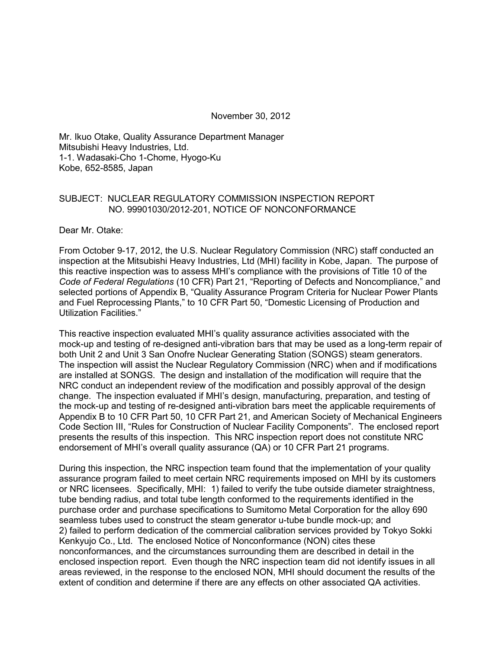November 30, 2012

Mr. Ikuo Otake, Quality Assurance Department Manager Mitsubishi Heavy Industries, Ltd. 1-1. Wadasaki-Cho 1-Chome, Hyogo-Ku Kobe, 652-8585, Japan

#### SUBJECT: NUCLEAR REGULATORY COMMISSION INSPECTION REPORT NO. 99901030/2012-201, NOTICE OF NONCONFORMANCE

Dear Mr. Otake:

From October 9-17, 2012, the U.S. Nuclear Regulatory Commission (NRC) staff conducted an inspection at the Mitsubishi Heavy Industries, Ltd (MHI) facility in Kobe, Japan. The purpose of this reactive inspection was to assess MHI's compliance with the provisions of Title 10 of the *Code of Federal Regulations* (10 CFR) Part 21, "Reporting of Defects and Noncompliance," and selected portions of Appendix B, "Quality Assurance Program Criteria for Nuclear Power Plants and Fuel Reprocessing Plants," to 10 CFR Part 50, "Domestic Licensing of Production and Utilization Facilities."

This reactive inspection evaluated MHI's quality assurance activities associated with the mock-up and testing of re-designed anti-vibration bars that may be used as a long-term repair of both Unit 2 and Unit 3 San Onofre Nuclear Generating Station (SONGS) steam generators. The inspection will assist the Nuclear Regulatory Commission (NRC) when and if modifications are installed at SONGS. The design and installation of the modification will require that the NRC conduct an independent review of the modification and possibly approval of the design change. The inspection evaluated if MHI's design, manufacturing, preparation, and testing of the mock-up and testing of re-designed anti-vibration bars meet the applicable requirements of Appendix B to 10 CFR Part 50, 10 CFR Part 21, and American Society of Mechanical Engineers Code Section III, "Rules for Construction of Nuclear Facility Components". The enclosed report presents the results of this inspection. This NRC inspection report does not constitute NRC endorsement of MHI's overall quality assurance (QA) or 10 CFR Part 21 programs.

During this inspection, the NRC inspection team found that the implementation of your quality assurance program failed to meet certain NRC requirements imposed on MHI by its customers or NRC licensees. Specifically, MHI: 1) failed to verify the tube outside diameter straightness, tube bending radius, and total tube length conformed to the requirements identified in the purchase order and purchase specifications to Sumitomo Metal Corporation for the alloy 690 seamless tubes used to construct the steam generator u-tube bundle mock-up; and 2) failed to perform dedication of the commercial calibration services provided by Tokyo Sokki Kenkyujo Co., Ltd. The enclosed Notice of Nonconformance (NON) cites these nonconformances, and the circumstances surrounding them are described in detail in the enclosed inspection report. Even though the NRC inspection team did not identify issues in all areas reviewed, in the response to the enclosed NON, MHI should document the results of the extent of condition and determine if there are any effects on other associated QA activities.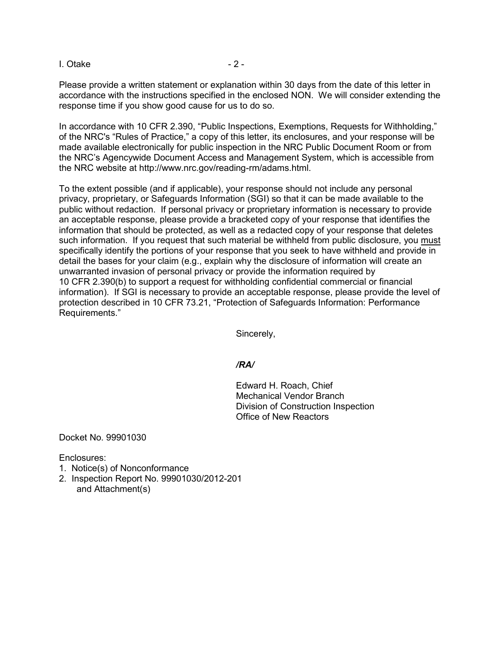I. Otake  $-2 -$ 

Please provide a written statement or explanation within 30 days from the date of this letter in accordance with the instructions specified in the enclosed NON. We will consider extending the response time if you show good cause for us to do so.

In accordance with 10 CFR 2.390, "Public Inspections, Exemptions, Requests for Withholding," of the NRC's "Rules of Practice," a copy of this letter, its enclosures, and your response will be made available electronically for public inspection in the NRC Public Document Room or from the NRC's Agencywide Document Access and Management System, which is accessible from the NRC website at http://www.nrc.gov/reading-rm/adams.html.

To the extent possible (and if applicable), your response should not include any personal privacy, proprietary, or Safeguards Information (SGI) so that it can be made available to the public without redaction. If personal privacy or proprietary information is necessary to provide an acceptable response, please provide a bracketed copy of your response that identifies the information that should be protected, as well as a redacted copy of your response that deletes such information. If you request that such material be withheld from public disclosure, you must specifically identify the portions of your response that you seek to have withheld and provide in detail the bases for your claim (e.g., explain why the disclosure of information will create an unwarranted invasion of personal privacy or provide the information required by 10 CFR 2.390(b) to support a request for withholding confidential commercial or financial information). If SGI is necessary to provide an acceptable response, please provide the level of protection described in 10 CFR 73.21, "Protection of Safeguards Information: Performance Requirements."

Sincerely,

#### */RA/*

Edward H. Roach, Chief Mechanical Vendor Branch Division of Construction Inspection Office of New Reactors

Docket No. 99901030

Enclosures:

- 1. Notice(s) of Nonconformance
- 2. Inspection Report No. 99901030/2012-201 and Attachment(s)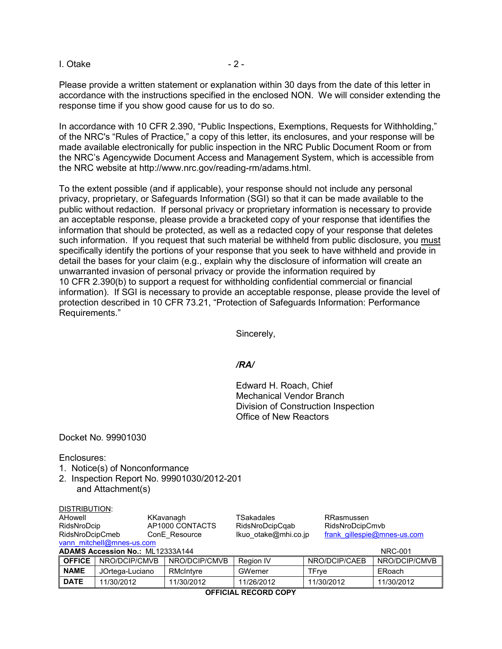$I. Otake$   $-2$  -

Please provide a written statement or explanation within 30 days from the date of this letter in accordance with the instructions specified in the enclosed NON. We will consider extending the response time if you show good cause for us to do so.

In accordance with 10 CFR 2.390, "Public Inspections, Exemptions, Requests for Withholding," of the NRC's "Rules of Practice," a copy of this letter, its enclosures, and your response will be made available electronically for public inspection in the NRC Public Document Room or from the NRC's Agencywide Document Access and Management System, which is accessible from the NRC website at http://www.nrc.gov/reading-rm/adams.html.

To the extent possible (and if applicable), your response should not include any personal privacy, proprietary, or Safeguards Information (SGI) so that it can be made available to the public without redaction. If personal privacy or proprietary information is necessary to provide an acceptable response, please provide a bracketed copy of your response that identifies the information that should be protected, as well as a redacted copy of your response that deletes such information. If you request that such material be withheld from public disclosure, you must specifically identify the portions of your response that you seek to have withheld and provide in detail the bases for your claim (e.g., explain why the disclosure of information will create an unwarranted invasion of personal privacy or provide the information required by 10 CFR 2.390(b) to support a request for withholding confidential commercial or financial information). If SGI is necessary to provide an acceptable response, please provide the level of protection described in 10 CFR 73.21, "Protection of Safeguards Information: Performance Requirements."

Sincerely,

#### */RA/*

Edward H. Roach, Chief Mechanical Vendor Branch Division of Construction Inspection Office of New Reactors

Docket No. 99901030

Enclosures:

- 1. Notice(s) of Nonconformance
- 2. Inspection Report No. 99901030/2012-201 and Attachment(s)

| DISTRIBUTION:<br>AHowell<br>KKavanagh<br>AP1000 CONTACTS<br>RidsNroDcip<br>RidsNroDcipCmeb<br>ConE Resource<br>vann mitchell@mnes-us.com |                 |  | TSakadales<br>RidsNroDcipCqab<br>Ikuo otake@mhi.co.jp |            | RRasmussen<br>RidsNroDcipCmvb<br>frank gillespie@mnes-us.com |  |               |  |
|------------------------------------------------------------------------------------------------------------------------------------------|-----------------|--|-------------------------------------------------------|------------|--------------------------------------------------------------|--|---------------|--|
| <b>ADAMS Accession No.: ML12333A144</b><br><b>NRC-001</b>                                                                                |                 |  |                                                       |            |                                                              |  |               |  |
| <b>OFFICE</b>                                                                                                                            | NRO/DCIP/CMVB   |  | NRO/DCIP/CMVB                                         | Region IV  | NRO/DCIP/CAEB                                                |  | NRO/DCIP/CMVB |  |
| <b>NAME</b>                                                                                                                              | JOrtega-Luciano |  | RMcIntyre                                             | GWerner    | TFrye                                                        |  | ERoach        |  |
| <b>DATE</b>                                                                                                                              | 11/30/2012      |  | 11/30/2012                                            | 11/26/2012 | 11/30/2012                                                   |  | 11/30/2012    |  |

**OFFICIAL RECORD COPY**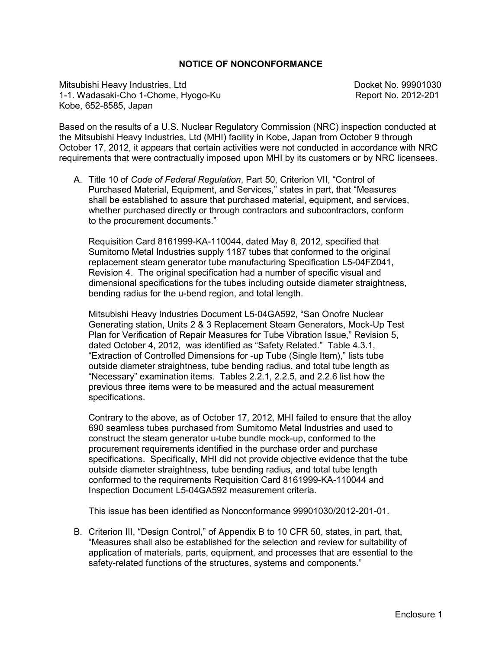#### **NOTICE OF NONCONFORMANCE**

Mitsubishi Heavy Industries, Ltd **Docket No. 99901030 Docket No. 99901030** 1-1. Wadasaki-Cho 1-Chome, Hyogo-Ku Report No. 2012-201 Kobe, 652-8585, Japan

Based on the results of a U.S. Nuclear Regulatory Commission (NRC) inspection conducted at the Mitsubishi Heavy Industries, Ltd (MHI) facility in Kobe, Japan from October 9 through October 17, 2012, it appears that certain activities were not conducted in accordance with NRC requirements that were contractually imposed upon MHI by its customers or by NRC licensees.

A. Title 10 of *Code of Federal Regulation*, Part 50, Criterion VII, "Control of Purchased Material, Equipment, and Services," states in part, that "Measures shall be established to assure that purchased material, equipment, and services, whether purchased directly or through contractors and subcontractors, conform to the procurement documents."

Requisition Card 8161999-KA-110044, dated May 8, 2012, specified that Sumitomo Metal Industries supply 1187 tubes that conformed to the original replacement steam generator tube manufacturing Specification L5-04FZ041, Revision 4. The original specification had a number of specific visual and dimensional specifications for the tubes including outside diameter straightness, bending radius for the u-bend region, and total length.

Mitsubishi Heavy Industries Document L5-04GA592, "San Onofre Nuclear Generating station, Units 2 & 3 Replacement Steam Generators, Mock-Up Test Plan for Verification of Repair Measures for Tube Vibration Issue," Revision 5, dated October 4, 2012, was identified as "Safety Related." Table 4.3.1, "Extraction of Controlled Dimensions for -up Tube (Single Item)," lists tube outside diameter straightness, tube bending radius, and total tube length as "Necessary" examination items. Tables 2.2.1, 2.2.5, and 2.2.6 list how the previous three items were to be measured and the actual measurement specifications.

Contrary to the above, as of October 17, 2012, MHI failed to ensure that the alloy 690 seamless tubes purchased from Sumitomo Metal Industries and used to construct the steam generator u-tube bundle mock-up, conformed to the procurement requirements identified in the purchase order and purchase specifications. Specifically, MHI did not provide objective evidence that the tube outside diameter straightness, tube bending radius, and total tube length conformed to the requirements Requisition Card 8161999-KA-110044 and Inspection Document L5-04GA592 measurement criteria.

This issue has been identified as Nonconformance 99901030/2012-201-01.

B. Criterion III, "Design Control," of Appendix B to 10 CFR 50, states, in part, that, "Measures shall also be established for the selection and review for suitability of application of materials, parts, equipment, and processes that are essential to the safety-related functions of the structures, systems and components."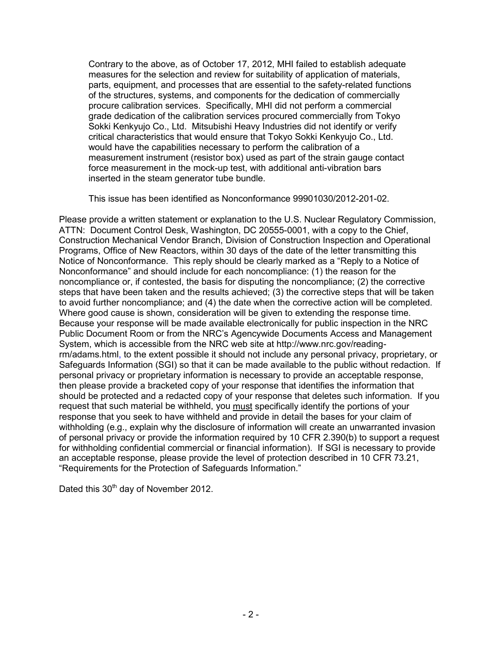Contrary to the above, as of October 17, 2012, MHI failed to establish adequate measures for the selection and review for suitability of application of materials, parts, equipment, and processes that are essential to the safety-related functions of the structures, systems, and components for the dedication of commercially procure calibration services. Specifically, MHI did not perform a commercial grade dedication of the calibration services procured commercially from Tokyo Sokki Kenkyujo Co., Ltd. Mitsubishi Heavy Industries did not identify or verify critical characteristics that would ensure that Tokyo Sokki Kenkyujo Co., Ltd. would have the capabilities necessary to perform the calibration of a measurement instrument (resistor box) used as part of the strain gauge contact force measurement in the mock-up test, with additional anti-vibration bars inserted in the steam generator tube bundle.

This issue has been identified as Nonconformance 99901030/2012-201-02.

Please provide a written statement or explanation to the U.S. Nuclear Regulatory Commission, ATTN: Document Control Desk, Washington, DC 20555-0001, with a copy to the Chief, Construction Mechanical Vendor Branch, Division of Construction Inspection and Operational Programs, Office of New Reactors, within 30 days of the date of the letter transmitting this Notice of Nonconformance. This reply should be clearly marked as a "Reply to a Notice of Nonconformance" and should include for each noncompliance: (1) the reason for the noncompliance or, if contested, the basis for disputing the noncompliance; (2) the corrective steps that have been taken and the results achieved; (3) the corrective steps that will be taken to avoid further noncompliance; and (4) the date when the corrective action will be completed. Where good cause is shown, consideration will be given to extending the response time. Because your response will be made available electronically for public inspection in the NRC Public Document Room or from the NRC's Agencywide Documents Access and Management System, which is accessible from the NRC web site at http://www.nrc.gov/readingrm/adams.html, to the extent possible it should not include any personal privacy, proprietary, or Safeguards Information (SGI) so that it can be made available to the public without redaction. If personal privacy or proprietary information is necessary to provide an acceptable response, then please provide a bracketed copy of your response that identifies the information that should be protected and a redacted copy of your response that deletes such information. If you request that such material be withheld, you must specifically identify the portions of your response that you seek to have withheld and provide in detail the bases for your claim of withholding (e.g., explain why the disclosure of information will create an unwarranted invasion of personal privacy or provide the information required by 10 CFR 2.390(b) to support a request for withholding confidential commercial or financial information). If SGI is necessary to provide an acceptable response, please provide the level of protection described in 10 CFR 73.21, "Requirements for the Protection of Safeguards Information."

Dated this 30<sup>th</sup> day of November 2012.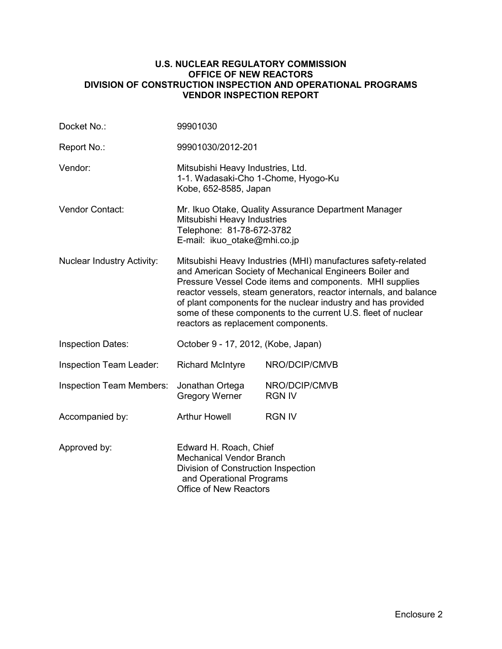#### **U.S. NUCLEAR REGULATORY COMMISSION OFFICE OF NEW REACTORS DIVISION OF CONSTRUCTION INSPECTION AND OPERATIONAL PROGRAMS VENDOR INSPECTION REPORT**

| Docket No.:                       | 99901030                                                                                                                                                                                                                                                                                                                                                                                                                          |                                |  |  |
|-----------------------------------|-----------------------------------------------------------------------------------------------------------------------------------------------------------------------------------------------------------------------------------------------------------------------------------------------------------------------------------------------------------------------------------------------------------------------------------|--------------------------------|--|--|
| Report No.:                       | 99901030/2012-201                                                                                                                                                                                                                                                                                                                                                                                                                 |                                |  |  |
| Vendor:                           | Mitsubishi Heavy Industries, Ltd.<br>1-1. Wadasaki-Cho 1-Chome, Hyogo-Ku<br>Kobe, 652-8585, Japan                                                                                                                                                                                                                                                                                                                                 |                                |  |  |
| Vendor Contact:                   | Mr. Ikuo Otake, Quality Assurance Department Manager<br>Mitsubishi Heavy Industries<br>Telephone: 81-78-672-3782<br>E-mail: ikuo_otake@mhi.co.jp                                                                                                                                                                                                                                                                                  |                                |  |  |
| <b>Nuclear Industry Activity:</b> | Mitsubishi Heavy Industries (MHI) manufactures safety-related<br>and American Society of Mechanical Engineers Boiler and<br>Pressure Vessel Code items and components. MHI supplies<br>reactor vessels, steam generators, reactor internals, and balance<br>of plant components for the nuclear industry and has provided<br>some of these components to the current U.S. fleet of nuclear<br>reactors as replacement components. |                                |  |  |
| <b>Inspection Dates:</b>          | October 9 - 17, 2012, (Kobe, Japan)                                                                                                                                                                                                                                                                                                                                                                                               |                                |  |  |
| Inspection Team Leader:           | <b>Richard McIntyre</b>                                                                                                                                                                                                                                                                                                                                                                                                           | NRO/DCIP/CMVB                  |  |  |
| <b>Inspection Team Members:</b>   | Jonathan Ortega<br><b>Gregory Werner</b>                                                                                                                                                                                                                                                                                                                                                                                          | NRO/DCIP/CMVB<br><b>RGN IV</b> |  |  |
| Accompanied by:                   | <b>Arthur Howell</b>                                                                                                                                                                                                                                                                                                                                                                                                              | <b>RGN IV</b>                  |  |  |
| Approved by:                      | Edward H. Roach, Chief<br><b>Mechanical Vendor Branch</b><br>Division of Construction Inspection<br>and Operational Programs<br><b>Office of New Reactors</b>                                                                                                                                                                                                                                                                     |                                |  |  |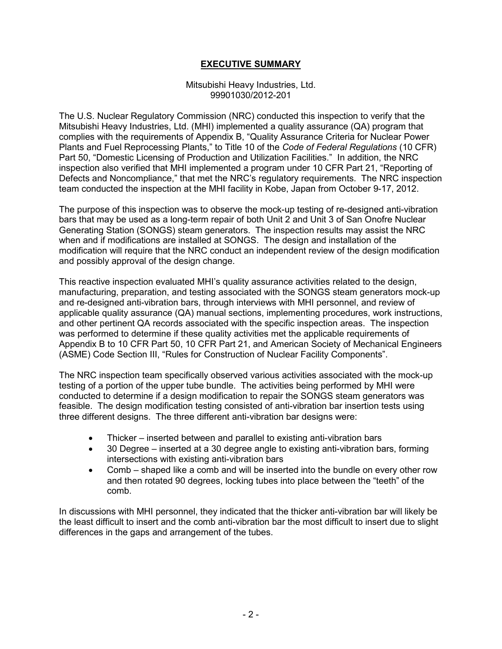## **EXECUTIVE SUMMARY**

#### Mitsubishi Heavy Industries, Ltd. 99901030/2012-201

The U.S. Nuclear Regulatory Commission (NRC) conducted this inspection to verify that the Mitsubishi Heavy Industries, Ltd. (MHI) implemented a quality assurance (QA) program that complies with the requirements of Appendix B, "Quality Assurance Criteria for Nuclear Power Plants and Fuel Reprocessing Plants," to Title 10 of the *Code of Federal Regulations* (10 CFR) Part 50, "Domestic Licensing of Production and Utilization Facilities." In addition, the NRC inspection also verified that MHI implemented a program under 10 CFR Part 21, "Reporting of Defects and Noncompliance," that met the NRC's regulatory requirements. The NRC inspection team conducted the inspection at the MHI facility in Kobe, Japan from October 9-17, 2012.

The purpose of this inspection was to observe the mock-up testing of re-designed anti-vibration bars that may be used as a long-term repair of both Unit 2 and Unit 3 of San Onofre Nuclear Generating Station (SONGS) steam generators. The inspection results may assist the NRC when and if modifications are installed at SONGS. The design and installation of the modification will require that the NRC conduct an independent review of the design modification and possibly approval of the design change.

This reactive inspection evaluated MHI's quality assurance activities related to the design, manufacturing, preparation, and testing associated with the SONGS steam generators mock-up and re-designed anti-vibration bars, through interviews with MHI personnel, and review of applicable quality assurance (QA) manual sections, implementing procedures, work instructions, and other pertinent QA records associated with the specific inspection areas. The inspection was performed to determine if these quality activities met the applicable requirements of Appendix B to 10 CFR Part 50, 10 CFR Part 21, and American Society of Mechanical Engineers (ASME) Code Section III, "Rules for Construction of Nuclear Facility Components".

The NRC inspection team specifically observed various activities associated with the mock-up testing of a portion of the upper tube bundle. The activities being performed by MHI were conducted to determine if a design modification to repair the SONGS steam generators was feasible. The design modification testing consisted of anti-vibration bar insertion tests using three different designs. The three different anti-vibration bar designs were:

- Thicker inserted between and parallel to existing anti-vibration bars
- 30 Degree inserted at a 30 degree angle to existing anti-vibration bars, forming intersections with existing anti-vibration bars
- Comb shaped like a comb and will be inserted into the bundle on every other row and then rotated 90 degrees, locking tubes into place between the "teeth" of the comb.

In discussions with MHI personnel, they indicated that the thicker anti-vibration bar will likely be the least difficult to insert and the comb anti-vibration bar the most difficult to insert due to slight differences in the gaps and arrangement of the tubes.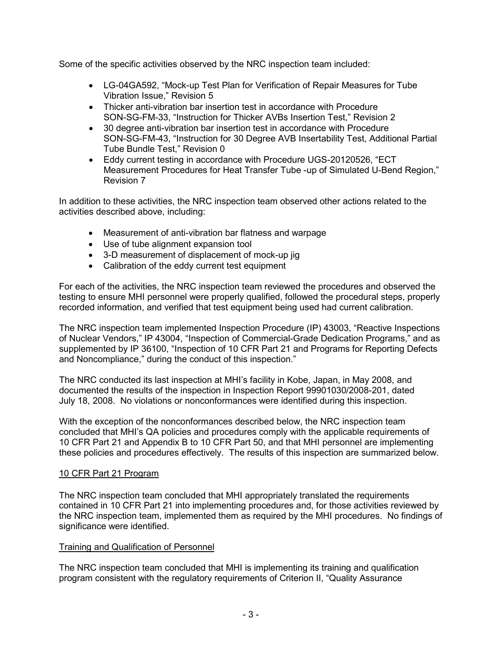Some of the specific activities observed by the NRC inspection team included:

- LG-04GA592, "Mock-up Test Plan for Verification of Repair Measures for Tube Vibration Issue," Revision 5
- Thicker anti-vibration bar insertion test in accordance with Procedure SON-SG-FM-33, "Instruction for Thicker AVBs Insertion Test," Revision 2
- 30 degree anti-vibration bar insertion test in accordance with Procedure SON-SG-FM-43, "Instruction for 30 Degree AVB Insertability Test, Additional Partial Tube Bundle Test," Revision 0
- Eddy current testing in accordance with Procedure UGS-20120526, "ECT Measurement Procedures for Heat Transfer Tube -up of Simulated U-Bend Region," Revision 7

In addition to these activities, the NRC inspection team observed other actions related to the activities described above, including:

- Measurement of anti-vibration bar flatness and warpage
- Use of tube alignment expansion tool
- 3-D measurement of displacement of mock-up jig
- Calibration of the eddy current test equipment

For each of the activities, the NRC inspection team reviewed the procedures and observed the testing to ensure MHI personnel were properly qualified, followed the procedural steps, properly recorded information, and verified that test equipment being used had current calibration.

The NRC inspection team implemented Inspection Procedure (IP) 43003, "Reactive Inspections of Nuclear Vendors," IP 43004, "Inspection of Commercial-Grade Dedication Programs," and as supplemented by IP 36100, "Inspection of 10 CFR Part 21 and Programs for Reporting Defects and Noncompliance," during the conduct of this inspection."

The NRC conducted its last inspection at MHI's facility in Kobe, Japan, in May 2008, and documented the results of the inspection in Inspection Report 99901030/2008-201, dated July 18, 2008. No violations or nonconformances were identified during this inspection.

With the exception of the nonconformances described below, the NRC inspection team concluded that MHI's QA policies and procedures comply with the applicable requirements of 10 CFR Part 21 and Appendix B to 10 CFR Part 50, and that MHI personnel are implementing these policies and procedures effectively. The results of this inspection are summarized below.

## 10 CFR Part 21 Program

The NRC inspection team concluded that MHI appropriately translated the requirements contained in 10 CFR Part 21 into implementing procedures and, for those activities reviewed by the NRC inspection team, implemented them as required by the MHI procedures. No findings of significance were identified.

### Training and Qualification of Personnel

The NRC inspection team concluded that MHI is implementing its training and qualification program consistent with the regulatory requirements of Criterion II, "Quality Assurance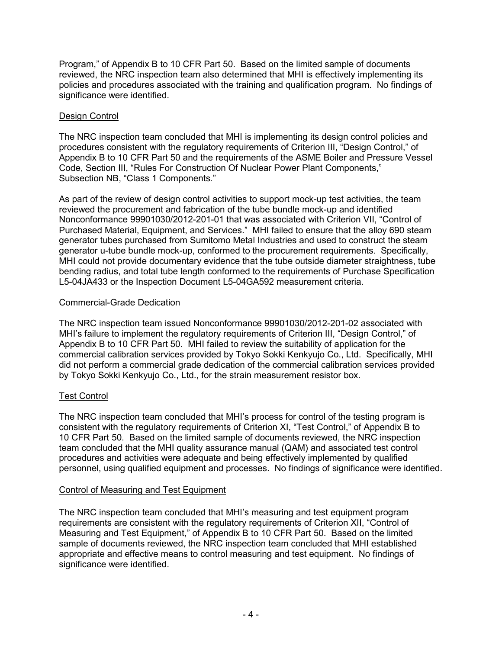Program," of Appendix B to 10 CFR Part 50. Based on the limited sample of documents reviewed, the NRC inspection team also determined that MHI is effectively implementing its policies and procedures associated with the training and qualification program. No findings of significance were identified.

## Design Control

The NRC inspection team concluded that MHI is implementing its design control policies and procedures consistent with the regulatory requirements of Criterion III, "Design Control," of Appendix B to 10 CFR Part 50 and the requirements of the ASME Boiler and Pressure Vessel Code, Section III, "Rules For Construction Of Nuclear Power Plant Components," Subsection NB, "Class 1 Components."

As part of the review of design control activities to support mock-up test activities, the team reviewed the procurement and fabrication of the tube bundle mock-up and identified Nonconformance 99901030/2012-201-01 that was associated with Criterion VII, "Control of Purchased Material, Equipment, and Services." MHI failed to ensure that the alloy 690 steam generator tubes purchased from Sumitomo Metal Industries and used to construct the steam generator u-tube bundle mock-up, conformed to the procurement requirements. Specifically, MHI could not provide documentary evidence that the tube outside diameter straightness, tube bending radius, and total tube length conformed to the requirements of Purchase Specification L5-04JA433 or the Inspection Document L5-04GA592 measurement criteria.

### Commercial-Grade Dedication

The NRC inspection team issued Nonconformance 99901030/2012-201-02 associated with MHI's failure to implement the regulatory requirements of Criterion III, "Design Control," of Appendix B to 10 CFR Part 50. MHI failed to review the suitability of application for the commercial calibration services provided by Tokyo Sokki Kenkyujo Co., Ltd. Specifically, MHI did not perform a commercial grade dedication of the commercial calibration services provided by Tokyo Sokki Kenkyujo Co., Ltd., for the strain measurement resistor box.

## Test Control

The NRC inspection team concluded that MHI's process for control of the testing program is consistent with the regulatory requirements of Criterion XI, "Test Control," of Appendix B to 10 CFR Part 50. Based on the limited sample of documents reviewed, the NRC inspection team concluded that the MHI quality assurance manual (QAM) and associated test control procedures and activities were adequate and being effectively implemented by qualified personnel, using qualified equipment and processes. No findings of significance were identified.

### Control of Measuring and Test Equipment

The NRC inspection team concluded that MHI's measuring and test equipment program requirements are consistent with the regulatory requirements of Criterion XII, "Control of Measuring and Test Equipment," of Appendix B to 10 CFR Part 50. Based on the limited sample of documents reviewed, the NRC inspection team concluded that MHI established appropriate and effective means to control measuring and test equipment. No findings of significance were identified.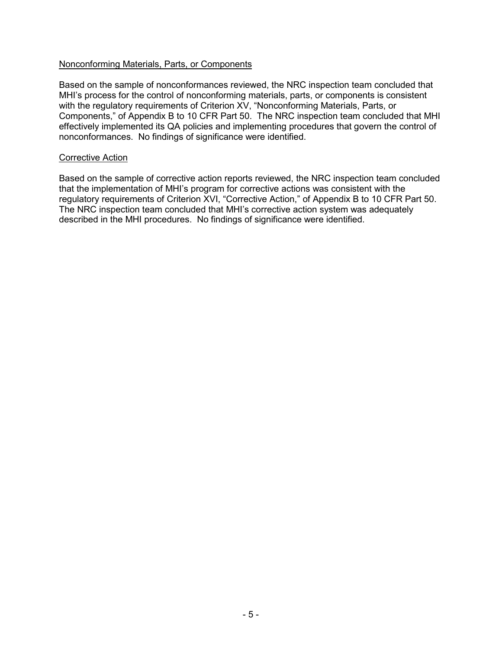### Nonconforming Materials, Parts, or Components

Based on the sample of nonconformances reviewed, the NRC inspection team concluded that MHI's process for the control of nonconforming materials, parts, or components is consistent with the regulatory requirements of Criterion XV, "Nonconforming Materials, Parts, or Components," of Appendix B to 10 CFR Part 50. The NRC inspection team concluded that MHI effectively implemented its QA policies and implementing procedures that govern the control of nonconformances. No findings of significance were identified.

#### Corrective Action

Based on the sample of corrective action reports reviewed, the NRC inspection team concluded that the implementation of MHI's program for corrective actions was consistent with the regulatory requirements of Criterion XVI, "Corrective Action," of Appendix B to 10 CFR Part 50. The NRC inspection team concluded that MHI's corrective action system was adequately described in the MHI procedures. No findings of significance were identified.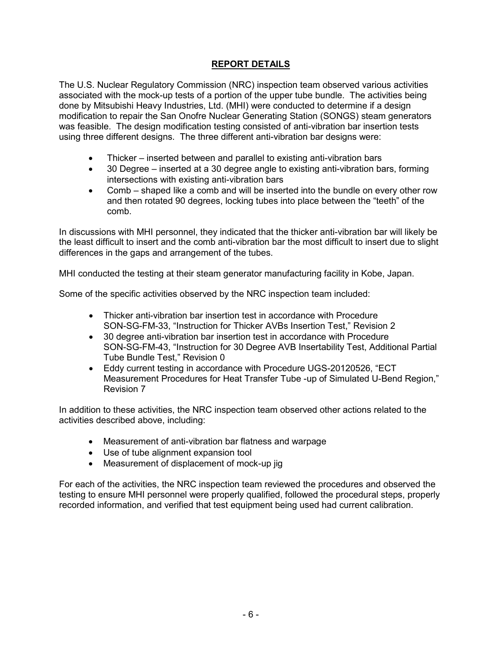# **REPORT DETAILS**

The U.S. Nuclear Regulatory Commission (NRC) inspection team observed various activities associated with the mock-up tests of a portion of the upper tube bundle. The activities being done by Mitsubishi Heavy Industries, Ltd. (MHI) were conducted to determine if a design modification to repair the San Onofre Nuclear Generating Station (SONGS) steam generators was feasible. The design modification testing consisted of anti-vibration bar insertion tests using three different designs. The three different anti-vibration bar designs were:

- Thicker inserted between and parallel to existing anti-vibration bars
- 30 Degree inserted at a 30 degree angle to existing anti-vibration bars, forming intersections with existing anti-vibration bars
- Comb shaped like a comb and will be inserted into the bundle on every other row and then rotated 90 degrees, locking tubes into place between the "teeth" of the comb.

In discussions with MHI personnel, they indicated that the thicker anti-vibration bar will likely be the least difficult to insert and the comb anti-vibration bar the most difficult to insert due to slight differences in the gaps and arrangement of the tubes.

MHI conducted the testing at their steam generator manufacturing facility in Kobe, Japan.

Some of the specific activities observed by the NRC inspection team included:

- Thicker anti-vibration bar insertion test in accordance with Procedure SON-SG-FM-33, "Instruction for Thicker AVBs Insertion Test," Revision 2
- 30 degree anti-vibration bar insertion test in accordance with Procedure SON-SG-FM-43, "Instruction for 30 Degree AVB Insertability Test, Additional Partial Tube Bundle Test," Revision 0
- Eddy current testing in accordance with Procedure UGS-20120526, "ECT Measurement Procedures for Heat Transfer Tube -up of Simulated U-Bend Region," Revision 7

In addition to these activities, the NRC inspection team observed other actions related to the activities described above, including:

- Measurement of anti-vibration bar flatness and warpage
- Use of tube alignment expansion tool
- Measurement of displacement of mock-up jig

For each of the activities, the NRC inspection team reviewed the procedures and observed the testing to ensure MHI personnel were properly qualified, followed the procedural steps, properly recorded information, and verified that test equipment being used had current calibration.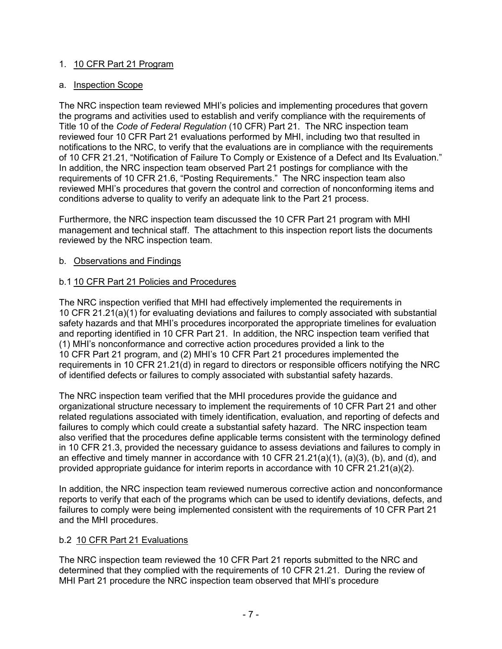## 1. 10 CFR Part 21 Program

## a. Inspection Scope

The NRC inspection team reviewed MHI's policies and implementing procedures that govern the programs and activities used to establish and verify compliance with the requirements of Title 10 of the *Code of Federal Regulation* (10 CFR) Part 21. The NRC inspection team reviewed four 10 CFR Part 21 evaluations performed by MHI, including two that resulted in notifications to the NRC, to verify that the evaluations are in compliance with the requirements of 10 CFR 21.21, "Notification of Failure To Comply or Existence of a Defect and Its Evaluation." In addition, the NRC inspection team observed Part 21 postings for compliance with the requirements of 10 CFR 21.6, "Posting Requirements." The NRC inspection team also reviewed MHI's procedures that govern the control and correction of nonconforming items and conditions adverse to quality to verify an adequate link to the Part 21 process.

Furthermore, the NRC inspection team discussed the 10 CFR Part 21 program with MHI management and technical staff. The attachment to this inspection report lists the documents reviewed by the NRC inspection team.

## b. Observations and Findings

## b.1 10 CFR Part 21 Policies and Procedures

The NRC inspection verified that MHI had effectively implemented the requirements in 10 CFR 21.21(a)(1) for evaluating deviations and failures to comply associated with substantial safety hazards and that MHI's procedures incorporated the appropriate timelines for evaluation and reporting identified in 10 CFR Part 21. In addition, the NRC inspection team verified that (1) MHI's nonconformance and corrective action procedures provided a link to the 10 CFR Part 21 program, and (2) MHI's 10 CFR Part 21 procedures implemented the requirements in 10 CFR 21.21(d) in regard to directors or responsible officers notifying the NRC of identified defects or failures to comply associated with substantial safety hazards.

The NRC inspection team verified that the MHI procedures provide the guidance and organizational structure necessary to implement the requirements of 10 CFR Part 21 and other related regulations associated with timely identification, evaluation, and reporting of defects and failures to comply which could create a substantial safety hazard. The NRC inspection team also verified that the procedures define applicable terms consistent with the terminology defined in 10 CFR 21.3, provided the necessary guidance to assess deviations and failures to comply in an effective and timely manner in accordance with 10 CFR 21.21(a)(1), (a)(3), (b), and (d), and provided appropriate guidance for interim reports in accordance with 10 CFR 21.21(a)(2).

In addition, the NRC inspection team reviewed numerous corrective action and nonconformance reports to verify that each of the programs which can be used to identify deviations, defects, and failures to comply were being implemented consistent with the requirements of 10 CFR Part 21 and the MHI procedures.

### b.2 10 CFR Part 21 Evaluations

The NRC inspection team reviewed the 10 CFR Part 21 reports submitted to the NRC and determined that they complied with the requirements of 10 CFR 21.21. During the review of MHI Part 21 procedure the NRC inspection team observed that MHI's procedure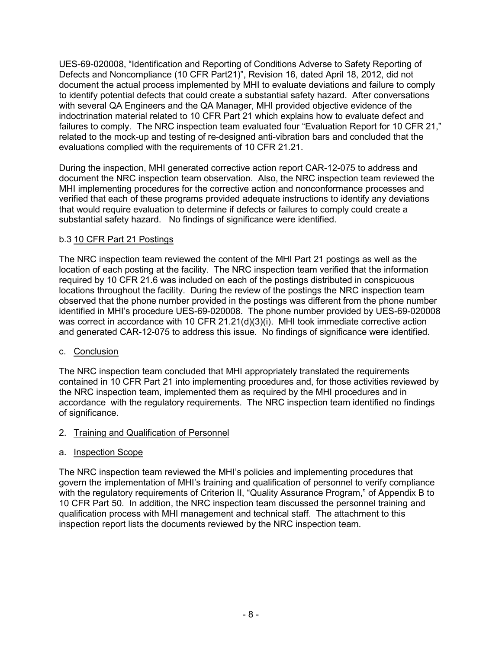UES-69-020008, "Identification and Reporting of Conditions Adverse to Safety Reporting of Defects and Noncompliance (10 CFR Part21)", Revision 16, dated April 18, 2012, did not document the actual process implemented by MHI to evaluate deviations and failure to comply to identify potential defects that could create a substantial safety hazard. After conversations with several QA Engineers and the QA Manager, MHI provided objective evidence of the indoctrination material related to 10 CFR Part 21 which explains how to evaluate defect and failures to comply. The NRC inspection team evaluated four "Evaluation Report for 10 CFR 21," related to the mock-up and testing of re-designed anti-vibration bars and concluded that the evaluations complied with the requirements of 10 CFR 21.21.

During the inspection, MHI generated corrective action report CAR-12-075 to address and document the NRC inspection team observation. Also, the NRC inspection team reviewed the MHI implementing procedures for the corrective action and nonconformance processes and verified that each of these programs provided adequate instructions to identify any deviations that would require evaluation to determine if defects or failures to comply could create a substantial safety hazard. No findings of significance were identified.

## b.3 10 CFR Part 21 Postings

The NRC inspection team reviewed the content of the MHI Part 21 postings as well as the location of each posting at the facility. The NRC inspection team verified that the information required by 10 CFR 21.6 was included on each of the postings distributed in conspicuous locations throughout the facility. During the review of the postings the NRC inspection team observed that the phone number provided in the postings was different from the phone number identified in MHI's procedure UES-69-020008. The phone number provided by UES-69-020008 was correct in accordance with 10 CFR 21.21(d)(3)(i). MHI took immediate corrective action and generated CAR-12-075 to address this issue. No findings of significance were identified.

## c. Conclusion

The NRC inspection team concluded that MHI appropriately translated the requirements contained in 10 CFR Part 21 into implementing procedures and, for those activities reviewed by the NRC inspection team, implemented them as required by the MHI procedures and in accordance with the regulatory requirements. The NRC inspection team identified no findings of significance.

## 2. Training and Qualification of Personnel

## a. Inspection Scope

The NRC inspection team reviewed the MHI's policies and implementing procedures that govern the implementation of MHI's training and qualification of personnel to verify compliance with the regulatory requirements of Criterion II, "Quality Assurance Program," of Appendix B to 10 CFR Part 50. In addition, the NRC inspection team discussed the personnel training and qualification process with MHI management and technical staff. The attachment to this inspection report lists the documents reviewed by the NRC inspection team.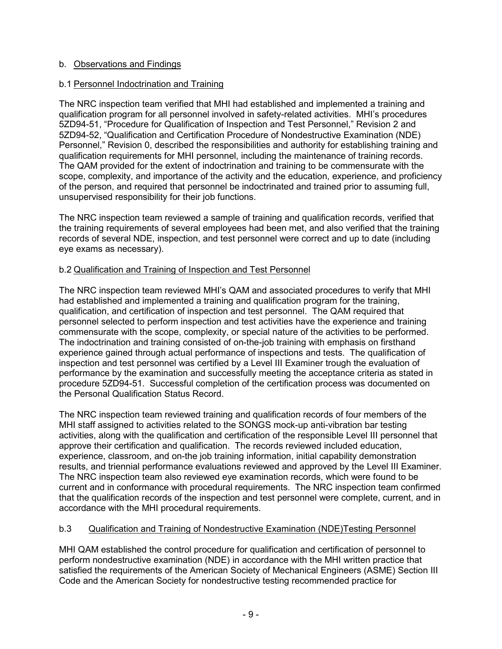## b. Observations and Findings

## b.1 Personnel Indoctrination and Training

The NRC inspection team verified that MHI had established and implemented a training and qualification program for all personnel involved in safety-related activities. MHI's procedures 5ZD94-51, "Procedure for Qualification of Inspection and Test Personnel," Revision 2 and 5ZD94-52, "Qualification and Certification Procedure of Nondestructive Examination (NDE) Personnel," Revision 0, described the responsibilities and authority for establishing training and qualification requirements for MHI personnel, including the maintenance of training records. The QAM provided for the extent of indoctrination and training to be commensurate with the scope, complexity, and importance of the activity and the education, experience, and proficiency of the person, and required that personnel be indoctrinated and trained prior to assuming full, unsupervised responsibility for their job functions.

The NRC inspection team reviewed a sample of training and qualification records, verified that the training requirements of several employees had been met, and also verified that the training records of several NDE, inspection, and test personnel were correct and up to date (including eye exams as necessary).

## b.2 Qualification and Training of Inspection and Test Personnel

The NRC inspection team reviewed MHI's QAM and associated procedures to verify that MHI had established and implemented a training and qualification program for the training, qualification, and certification of inspection and test personnel. The QAM required that personnel selected to perform inspection and test activities have the experience and training commensurate with the scope, complexity, or special nature of the activities to be performed. The indoctrination and training consisted of on-the-job training with emphasis on firsthand experience gained through actual performance of inspections and tests. The qualification of inspection and test personnel was certified by a Level III Examiner trough the evaluation of performance by the examination and successfully meeting the acceptance criteria as stated in procedure 5ZD94-51. Successful completion of the certification process was documented on the Personal Qualification Status Record.

The NRC inspection team reviewed training and qualification records of four members of the MHI staff assigned to activities related to the SONGS mock-up anti-vibration bar testing activities, along with the qualification and certification of the responsible Level III personnel that approve their certification and qualification. The records reviewed included education, experience, classroom, and on-the job training information, initial capability demonstration results, and triennial performance evaluations reviewed and approved by the Level III Examiner. The NRC inspection team also reviewed eye examination records, which were found to be current and in conformance with procedural requirements. The NRC inspection team confirmed that the qualification records of the inspection and test personnel were complete, current, and in accordance with the MHI procedural requirements.

## b.3 Qualification and Training of Nondestructive Examination (NDE)Testing Personnel

MHI QAM established the control procedure for qualification and certification of personnel to perform nondestructive examination (NDE) in accordance with the MHI written practice that satisfied the requirements of the American Society of Mechanical Engineers (ASME) Section III Code and the American Society for nondestructive testing recommended practice for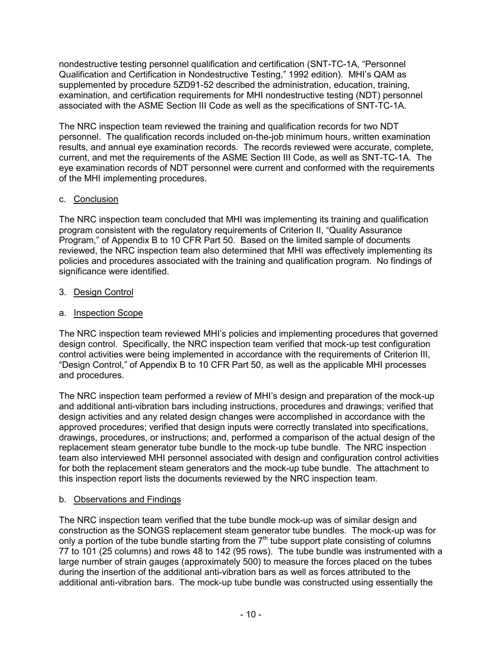nondestructive testing personnel qualification and certification (SNT-TC-1A, "Personnel Qualification and Certification in Nondestructive Testing," 1992 edition). MHI's QAM as supplemented by procedure 5ZD91-52 described the administration, education, training, examination, and certification requirements for MHI nondestructive testing (NDT) personnel associated with the ASME Section III Code as well as the specifications of SNT-TC-1A.

The NRC inspection team reviewed the training and qualification records for two NDT personnel. The qualification records included on-the-job minimum hours, written examination results, and annual eye examination records. The records reviewed were accurate, complete, current, and met the requirements of the ASME Section III Code, as well as SNT-TC-1A. The eye examination records of NDT personnel were current and conformed with the requirements of the MHI implementing procedures.

## c. Conclusion

The NRC inspection team concluded that MHI was implementing its training and qualification program consistent with the regulatory requirements of Criterion II, "Quality Assurance Program," of Appendix B to 10 CFR Part 50. Based on the limited sample of documents reviewed, the NRC inspection team also determined that MHI was effectively implementing its policies and procedures associated with the training and qualification program. No findings of significance were identified.

# 3. Design Control

# a. Inspection Scope

The NRC inspection team reviewed MHI's policies and implementing procedures that governed design control. Specifically, the NRC inspection team verified that mock-up test configuration control activities were being implemented in accordance with the requirements of Criterion III, "Design Control," of Appendix B to 10 CFR Part 50, as well as the applicable MHI processes and procedures.

The NRC inspection team performed a review of MHI's design and preparation of the mock-up and additional anti-vibration bars including instructions, procedures and drawings; verified that design activities and any related design changes were accomplished in accordance with the approved procedures; verified that design inputs were correctly translated into specifications, drawings, procedures, or instructions; and, performed a comparison of the actual design of the replacement steam generator tube bundle to the mock-up tube bundle. The NRC inspection team also interviewed MHI personnel associated with design and configuration control activities for both the replacement steam generators and the mock-up tube bundle. The attachment to this inspection report lists the documents reviewed by the NRC inspection team.

## b. Observations and Findings

The NRC inspection team verified that the tube bundle mock-up was of similar design and construction as the SONGS replacement steam generator tube bundles. The mock-up was for only a portion of the tube bundle starting from the  $7<sup>th</sup>$  tube support plate consisting of columns 77 to 101 (25 columns) and rows 48 to 142 (95 rows). The tube bundle was instrumented with a large number of strain gauges (approximately 500) to measure the forces placed on the tubes during the insertion of the additional anti-vibration bars as well as forces attributed to the additional anti-vibration bars. The mock-up tube bundle was constructed using essentially the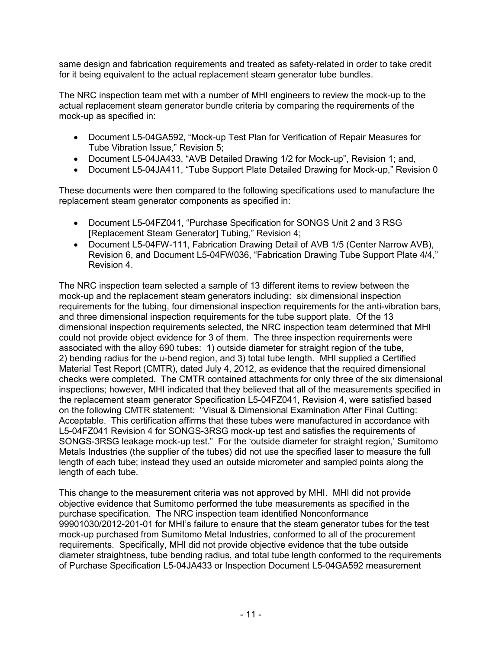same design and fabrication requirements and treated as safety-related in order to take credit for it being equivalent to the actual replacement steam generator tube bundles.

The NRC inspection team met with a number of MHI engineers to review the mock-up to the actual replacement steam generator bundle criteria by comparing the requirements of the mock-up as specified in:

- Document L5-04GA592, "Mock-up Test Plan for Verification of Repair Measures for Tube Vibration Issue," Revision 5;
- Document L5-04JA433, "AVB Detailed Drawing 1/2 for Mock-up", Revision 1; and,
- Document L5-04JA411, "Tube Support Plate Detailed Drawing for Mock-up," Revision 0

These documents were then compared to the following specifications used to manufacture the replacement steam generator components as specified in:

- Document L5-04FZ041, "Purchase Specification for SONGS Unit 2 and 3 RSG [Replacement Steam Generator] Tubing," Revision 4;
- Document L5-04FW-111, Fabrication Drawing Detail of AVB 1/5 (Center Narrow AVB), Revision 6, and Document L5-04FW036, "Fabrication Drawing Tube Support Plate 4/4," Revision 4.

The NRC inspection team selected a sample of 13 different items to review between the mock-up and the replacement steam generators including: six dimensional inspection requirements for the tubing, four dimensional inspection requirements for the anti-vibration bars, and three dimensional inspection requirements for the tube support plate. Of the 13 dimensional inspection requirements selected, the NRC inspection team determined that MHI could not provide object evidence for 3 of them. The three inspection requirements were associated with the alloy 690 tubes: 1) outside diameter for straight region of the tube, 2) bending radius for the u-bend region, and 3) total tube length. MHI supplied a Certified Material Test Report (CMTR), dated July 4, 2012, as evidence that the required dimensional checks were completed. The CMTR contained attachments for only three of the six dimensional inspections; however, MHI indicated that they believed that all of the measurements specified in the replacement steam generator Specification L5-04FZ041, Revision 4, were satisfied based on the following CMTR statement: "Visual & Dimensional Examination After Final Cutting: Acceptable. This certification affirms that these tubes were manufactured in accordance with L5-04FZ041 Revision 4 for SONGS-3RSG mock-up test and satisfies the requirements of SONGS-3RSG leakage mock-up test." For the 'outside diameter for straight region,' Sumitomo Metals Industries (the supplier of the tubes) did not use the specified laser to measure the full length of each tube; instead they used an outside micrometer and sampled points along the length of each tube.

This change to the measurement criteria was not approved by MHI. MHI did not provide objective evidence that Sumitomo performed the tube measurements as specified in the purchase specification. The NRC inspection team identified Nonconformance 99901030/2012-201-01 for MHI's failure to ensure that the steam generator tubes for the test mock-up purchased from Sumitomo Metal Industries, conformed to all of the procurement requirements. Specifically, MHI did not provide objective evidence that the tube outside diameter straightness, tube bending radius, and total tube length conformed to the requirements of Purchase Specification L5-04JA433 or Inspection Document L5-04GA592 measurement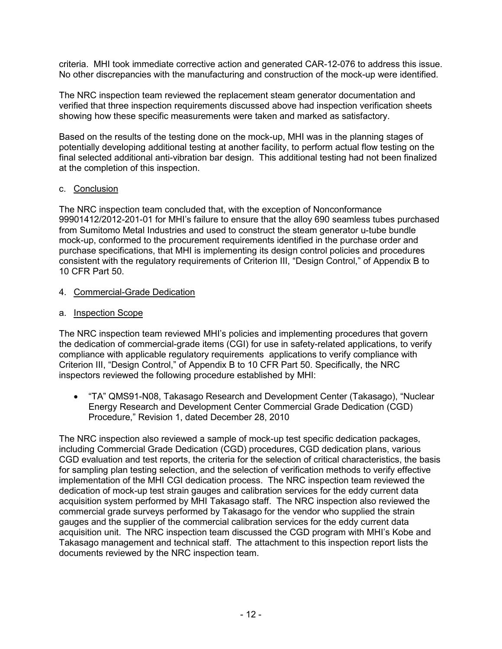criteria. MHI took immediate corrective action and generated CAR-12-076 to address this issue. No other discrepancies with the manufacturing and construction of the mock-up were identified.

The NRC inspection team reviewed the replacement steam generator documentation and verified that three inspection requirements discussed above had inspection verification sheets showing how these specific measurements were taken and marked as satisfactory.

Based on the results of the testing done on the mock-up, MHI was in the planning stages of potentially developing additional testing at another facility, to perform actual flow testing on the final selected additional anti-vibration bar design. This additional testing had not been finalized at the completion of this inspection.

## c. Conclusion

The NRC inspection team concluded that, with the exception of Nonconformance 99901412/2012-201-01 for MHI's failure to ensure that the alloy 690 seamless tubes purchased from Sumitomo Metal Industries and used to construct the steam generator u-tube bundle mock-up, conformed to the procurement requirements identified in the purchase order and purchase specifications, that MHI is implementing its design control policies and procedures consistent with the regulatory requirements of Criterion III, "Design Control," of Appendix B to 10 CFR Part 50.

## 4. Commercial-Grade Dedication

## a. Inspection Scope

The NRC inspection team reviewed MHI's policies and implementing procedures that govern the dedication of commercial-grade items (CGI) for use in safety-related applications, to verify compliance with applicable regulatory requirements applications to verify compliance with Criterion III, "Design Control," of Appendix B to 10 CFR Part 50. Specifically, the NRC inspectors reviewed the following procedure established by MHI:

• "TA" QMS91-N08, Takasago Research and Development Center (Takasago), "Nuclear Energy Research and Development Center Commercial Grade Dedication (CGD) Procedure," Revision 1, dated December 28, 2010

The NRC inspection also reviewed a sample of mock-up test specific dedication packages, including Commercial Grade Dedication (CGD) procedures, CGD dedication plans, various CGD evaluation and test reports, the criteria for the selection of critical characteristics, the basis for sampling plan testing selection, and the selection of verification methods to verify effective implementation of the MHI CGI dedication process. The NRC inspection team reviewed the dedication of mock-up test strain gauges and calibration services for the eddy current data acquisition system performed by MHI Takasago staff. The NRC inspection also reviewed the commercial grade surveys performed by Takasago for the vendor who supplied the strain gauges and the supplier of the commercial calibration services for the eddy current data acquisition unit. The NRC inspection team discussed the CGD program with MHI's Kobe and Takasago management and technical staff. The attachment to this inspection report lists the documents reviewed by the NRC inspection team.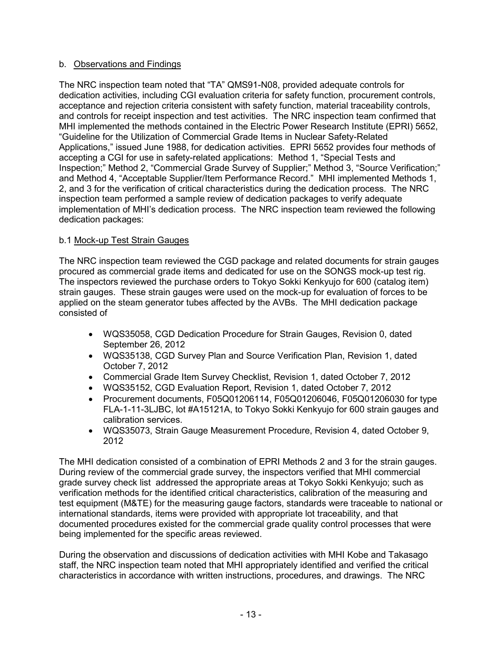## b. Observations and Findings

The NRC inspection team noted that "TA" QMS91-N08, provided adequate controls for dedication activities, including CGI evaluation criteria for safety function, procurement controls, acceptance and rejection criteria consistent with safety function, material traceability controls, and controls for receipt inspection and test activities. The NRC inspection team confirmed that MHI implemented the methods contained in the Electric Power Research Institute (EPRI) 5652, "Guideline for the Utilization of Commercial Grade Items in Nuclear Safety-Related Applications," issued June 1988, for dedication activities. EPRI 5652 provides four methods of accepting a CGI for use in safety-related applications: Method 1, "Special Tests and Inspection;" Method 2, "Commercial Grade Survey of Supplier;" Method 3, "Source Verification;" and Method 4, "Acceptable Supplier/Item Performance Record." MHI implemented Methods 1, 2, and 3 for the verification of critical characteristics during the dedication process. The NRC inspection team performed a sample review of dedication packages to verify adequate implementation of MHI's dedication process. The NRC inspection team reviewed the following dedication packages:

## b.1 Mock-up Test Strain Gauges

The NRC inspection team reviewed the CGD package and related documents for strain gauges procured as commercial grade items and dedicated for use on the SONGS mock-up test rig. The inspectors reviewed the purchase orders to Tokyo Sokki Kenkyujo for 600 (catalog item) strain gauges. These strain gauges were used on the mock-up for evaluation of forces to be applied on the steam generator tubes affected by the AVBs. The MHI dedication package consisted of

- WQS35058, CGD Dedication Procedure for Strain Gauges, Revision 0, dated September 26, 2012
- WQS35138, CGD Survey Plan and Source Verification Plan, Revision 1, dated October 7, 2012
- Commercial Grade Item Survey Checklist, Revision 1, dated October 7, 2012
- WQS35152, CGD Evaluation Report, Revision 1, dated October 7, 2012
- Procurement documents, F05Q01206114, F05Q01206046, F05Q01206030 for type FLA-1-11-3LJBC, lot #A15121A, to Tokyo Sokki Kenkyujo for 600 strain gauges and calibration services.
- WQS35073, Strain Gauge Measurement Procedure, Revision 4, dated October 9, 2012

The MHI dedication consisted of a combination of EPRI Methods 2 and 3 for the strain gauges. During review of the commercial grade survey, the inspectors verified that MHI commercial grade survey check list addressed the appropriate areas at Tokyo Sokki Kenkyujo; such as verification methods for the identified critical characteristics, calibration of the measuring and test equipment (M&TE) for the measuring gauge factors, standards were traceable to national or international standards, items were provided with appropriate lot traceability, and that documented procedures existed for the commercial grade quality control processes that were being implemented for the specific areas reviewed.

During the observation and discussions of dedication activities with MHI Kobe and Takasago staff, the NRC inspection team noted that MHI appropriately identified and verified the critical characteristics in accordance with written instructions, procedures, and drawings. The NRC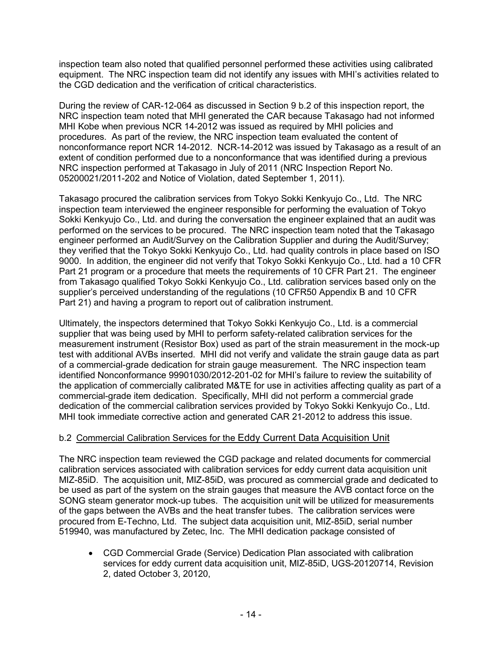inspection team also noted that qualified personnel performed these activities using calibrated equipment. The NRC inspection team did not identify any issues with MHI's activities related to the CGD dedication and the verification of critical characteristics.

During the review of CAR-12-064 as discussed in Section 9 b.2 of this inspection report, the NRC inspection team noted that MHI generated the CAR because Takasago had not informed MHI Kobe when previous NCR 14-2012 was issued as required by MHI policies and procedures. As part of the review, the NRC inspection team evaluated the content of nonconformance report NCR 14-2012. NCR-14-2012 was issued by Takasago as a result of an extent of condition performed due to a nonconformance that was identified during a previous NRC inspection performed at Takasago in July of 2011 (NRC Inspection Report No. 05200021/2011-202 and Notice of Violation, dated September 1, 2011).

Takasago procured the calibration services from Tokyo Sokki Kenkyujo Co., Ltd. The NRC inspection team interviewed the engineer responsible for performing the evaluation of Tokyo Sokki Kenkyujo Co., Ltd. and during the conversation the engineer explained that an audit was performed on the services to be procured. The NRC inspection team noted that the Takasago engineer performed an Audit/Survey on the Calibration Supplier and during the Audit/Survey; they verified that the Tokyo Sokki Kenkyujo Co., Ltd. had quality controls in place based on ISO 9000. In addition, the engineer did not verify that Tokyo Sokki Kenkyujo Co., Ltd. had a 10 CFR Part 21 program or a procedure that meets the requirements of 10 CFR Part 21. The engineer from Takasago qualified Tokyo Sokki Kenkyujo Co., Ltd. calibration services based only on the supplier's perceived understanding of the regulations (10 CFR50 Appendix B and 10 CFR Part 21) and having a program to report out of calibration instrument.

Ultimately, the inspectors determined that Tokyo Sokki Kenkyujo Co., Ltd. is a commercial supplier that was being used by MHI to perform safety-related calibration services for the measurement instrument (Resistor Box) used as part of the strain measurement in the mock-up test with additional AVBs inserted. MHI did not verify and validate the strain gauge data as part of a commercial-grade dedication for strain gauge measurement. The NRC inspection team identified Nonconformance 99901030/2012-201-02 for MHI's failure to review the suitability of the application of commercially calibrated M&TE for use in activities affecting quality as part of a commercial-grade item dedication. Specifically, MHI did not perform a commercial grade dedication of the commercial calibration services provided by Tokyo Sokki Kenkyujo Co., Ltd. MHI took immediate corrective action and generated CAR 21-2012 to address this issue.

## b.2 Commercial Calibration Services for the Eddy Current Data Acquisition Unit

The NRC inspection team reviewed the CGD package and related documents for commercial calibration services associated with calibration services for eddy current data acquisition unit MIZ-85iD. The acquisition unit, MIZ-85iD, was procured as commercial grade and dedicated to be used as part of the system on the strain gauges that measure the AVB contact force on the SONG steam generator mock-up tubes. The acquisition unit will be utilized for measurements of the gaps between the AVBs and the heat transfer tubes. The calibration services were procured from E-Techno, Ltd. The subject data acquisition unit, MIZ-85iD, serial number 519940, was manufactured by Zetec, Inc. The MHI dedication package consisted of

• CGD Commercial Grade (Service) Dedication Plan associated with calibration services for eddy current data acquisition unit, MIZ-85iD, UGS-20120714, Revision 2, dated October 3, 20120,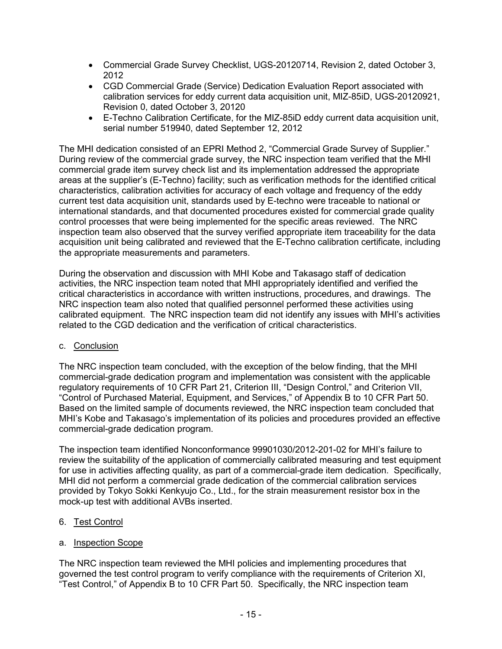- Commercial Grade Survey Checklist, UGS-20120714, Revision 2, dated October 3, 2012
- CGD Commercial Grade (Service) Dedication Evaluation Report associated with calibration services for eddy current data acquisition unit, MIZ-85iD, UGS-20120921, Revision 0, dated October 3, 20120
- E-Techno Calibration Certificate, for the MIZ-85iD eddy current data acquisition unit, serial number 519940, dated September 12, 2012

The MHI dedication consisted of an EPRI Method 2, "Commercial Grade Survey of Supplier." During review of the commercial grade survey, the NRC inspection team verified that the MHI commercial grade item survey check list and its implementation addressed the appropriate areas at the supplier's (E-Techno) facility; such as verification methods for the identified critical characteristics, calibration activities for accuracy of each voltage and frequency of the eddy current test data acquisition unit, standards used by E-techno were traceable to national or international standards, and that documented procedures existed for commercial grade quality control processes that were being implemented for the specific areas reviewed. The NRC inspection team also observed that the survey verified appropriate item traceability for the data acquisition unit being calibrated and reviewed that the E-Techno calibration certificate, including the appropriate measurements and parameters.

During the observation and discussion with MHI Kobe and Takasago staff of dedication activities, the NRC inspection team noted that MHI appropriately identified and verified the critical characteristics in accordance with written instructions, procedures, and drawings. The NRC inspection team also noted that qualified personnel performed these activities using calibrated equipment. The NRC inspection team did not identify any issues with MHI's activities related to the CGD dedication and the verification of critical characteristics.

### c. Conclusion

The NRC inspection team concluded, with the exception of the below finding, that the MHI commercial-grade dedication program and implementation was consistent with the applicable regulatory requirements of 10 CFR Part 21, Criterion III, "Design Control," and Criterion VII, "Control of Purchased Material, Equipment, and Services," of Appendix B to 10 CFR Part 50. Based on the limited sample of documents reviewed, the NRC inspection team concluded that MHI's Kobe and Takasago's implementation of its policies and procedures provided an effective commercial-grade dedication program.

The inspection team identified Nonconformance 99901030/2012-201-02 for MHI's failure to review the suitability of the application of commercially calibrated measuring and test equipment for use in activities affecting quality, as part of a commercial-grade item dedication. Specifically, MHI did not perform a commercial grade dedication of the commercial calibration services provided by Tokyo Sokki Kenkyujo Co., Ltd., for the strain measurement resistor box in the mock-up test with additional AVBs inserted.

### 6. Test Control

### a. Inspection Scope

The NRC inspection team reviewed the MHI policies and implementing procedures that governed the test control program to verify compliance with the requirements of Criterion XI, "Test Control," of Appendix B to 10 CFR Part 50. Specifically, the NRC inspection team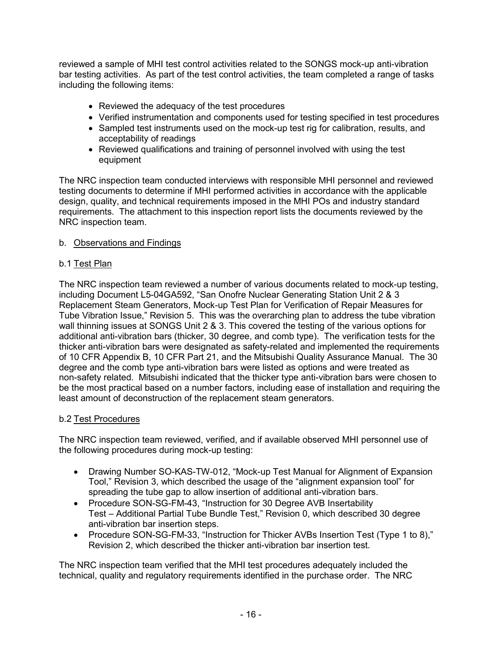reviewed a sample of MHI test control activities related to the SONGS mock-up anti-vibration bar testing activities. As part of the test control activities, the team completed a range of tasks including the following items:

- Reviewed the adequacy of the test procedures
- Verified instrumentation and components used for testing specified in test procedures
- Sampled test instruments used on the mock-up test rig for calibration, results, and acceptability of readings
- Reviewed qualifications and training of personnel involved with using the test equipment

The NRC inspection team conducted interviews with responsible MHI personnel and reviewed testing documents to determine if MHI performed activities in accordance with the applicable design, quality, and technical requirements imposed in the MHI POs and industry standard requirements. The attachment to this inspection report lists the documents reviewed by the NRC inspection team.

## b. Observations and Findings

## b.1 Test Plan

The NRC inspection team reviewed a number of various documents related to mock-up testing, including Document L5-04GA592, "San Onofre Nuclear Generating Station Unit 2 & 3 Replacement Steam Generators, Mock-up Test Plan for Verification of Repair Measures for Tube Vibration Issue," Revision 5. This was the overarching plan to address the tube vibration wall thinning issues at SONGS Unit 2 & 3. This covered the testing of the various options for additional anti-vibration bars (thicker, 30 degree, and comb type). The verification tests for the thicker anti-vibration bars were designated as safety-related and implemented the requirements of 10 CFR Appendix B, 10 CFR Part 21, and the Mitsubishi Quality Assurance Manual. The 30 degree and the comb type anti-vibration bars were listed as options and were treated as non-safety related. Mitsubishi indicated that the thicker type anti-vibration bars were chosen to be the most practical based on a number factors, including ease of installation and requiring the least amount of deconstruction of the replacement steam generators.

### b.2 Test Procedures

The NRC inspection team reviewed, verified, and if available observed MHI personnel use of the following procedures during mock-up testing:

- Drawing Number SO-KAS-TW-012, "Mock-up Test Manual for Alignment of Expansion Tool," Revision 3, which described the usage of the "alignment expansion tool" for spreading the tube gap to allow insertion of additional anti-vibration bars.
- Procedure SON-SG-FM-43, "Instruction for 30 Degree AVB Insertability Test – Additional Partial Tube Bundle Test," Revision 0, which described 30 degree anti-vibration bar insertion steps.
- Procedure SON-SG-FM-33, "Instruction for Thicker AVBs Insertion Test (Type 1 to 8)," Revision 2, which described the thicker anti-vibration bar insertion test.

The NRC inspection team verified that the MHI test procedures adequately included the technical, quality and regulatory requirements identified in the purchase order. The NRC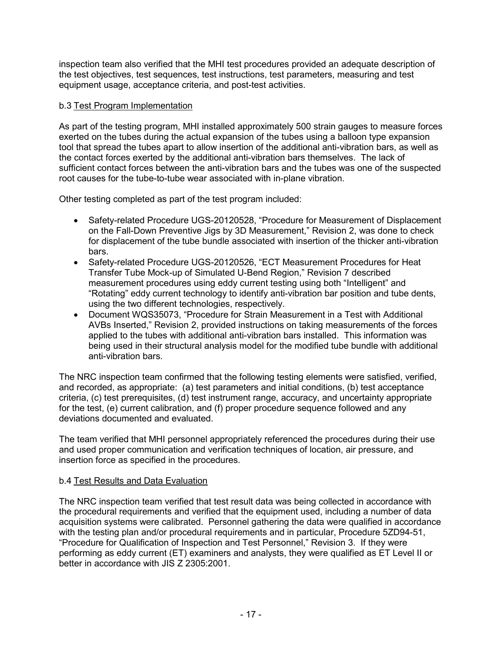inspection team also verified that the MHI test procedures provided an adequate description of the test objectives, test sequences, test instructions, test parameters, measuring and test equipment usage, acceptance criteria, and post-test activities.

## b.3 Test Program Implementation

As part of the testing program, MHI installed approximately 500 strain gauges to measure forces exerted on the tubes during the actual expansion of the tubes using a balloon type expansion tool that spread the tubes apart to allow insertion of the additional anti-vibration bars, as well as the contact forces exerted by the additional anti-vibration bars themselves. The lack of sufficient contact forces between the anti-vibration bars and the tubes was one of the suspected root causes for the tube-to-tube wear associated with in-plane vibration.

Other testing completed as part of the test program included:

- Safety-related Procedure UGS-20120528, "Procedure for Measurement of Displacement on the Fall-Down Preventive Jigs by 3D Measurement," Revision 2, was done to check for displacement of the tube bundle associated with insertion of the thicker anti-vibration bars.
- Safety-related Procedure UGS-20120526, "ECT Measurement Procedures for Heat Transfer Tube Mock-up of Simulated U-Bend Region," Revision 7 described measurement procedures using eddy current testing using both "Intelligent" and "Rotating" eddy current technology to identify anti-vibration bar position and tube dents, using the two different technologies, respectively.
- Document WQS35073, "Procedure for Strain Measurement in a Test with Additional AVBs Inserted," Revision 2, provided instructions on taking measurements of the forces applied to the tubes with additional anti-vibration bars installed. This information was being used in their structural analysis model for the modified tube bundle with additional anti-vibration bars.

The NRC inspection team confirmed that the following testing elements were satisfied, verified, and recorded, as appropriate: (a) test parameters and initial conditions, (b) test acceptance criteria, (c) test prerequisites, (d) test instrument range, accuracy, and uncertainty appropriate for the test, (e) current calibration, and (f) proper procedure sequence followed and any deviations documented and evaluated.

The team verified that MHI personnel appropriately referenced the procedures during their use and used proper communication and verification techniques of location, air pressure, and insertion force as specified in the procedures.

### b.4 Test Results and Data Evaluation

The NRC inspection team verified that test result data was being collected in accordance with the procedural requirements and verified that the equipment used, including a number of data acquisition systems were calibrated. Personnel gathering the data were qualified in accordance with the testing plan and/or procedural requirements and in particular, Procedure 5ZD94-51, "Procedure for Qualification of Inspection and Test Personnel," Revision 3. If they were performing as eddy current (ET) examiners and analysts, they were qualified as ET Level II or better in accordance with JIS Z 2305:2001.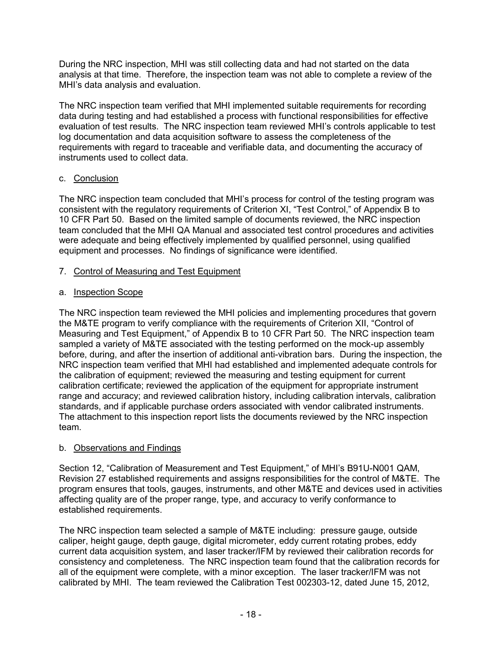During the NRC inspection, MHI was still collecting data and had not started on the data analysis at that time. Therefore, the inspection team was not able to complete a review of the MHI's data analysis and evaluation.

The NRC inspection team verified that MHI implemented suitable requirements for recording data during testing and had established a process with functional responsibilities for effective evaluation of test results. The NRC inspection team reviewed MHI's controls applicable to test log documentation and data acquisition software to assess the completeness of the requirements with regard to traceable and verifiable data, and documenting the accuracy of instruments used to collect data.

## c. Conclusion

The NRC inspection team concluded that MHI's process for control of the testing program was consistent with the regulatory requirements of Criterion XI, "Test Control," of Appendix B to 10 CFR Part 50. Based on the limited sample of documents reviewed, the NRC inspection team concluded that the MHI QA Manual and associated test control procedures and activities were adequate and being effectively implemented by qualified personnel, using qualified equipment and processes. No findings of significance were identified.

## 7. Control of Measuring and Test Equipment

# a. Inspection Scope

The NRC inspection team reviewed the MHI policies and implementing procedures that govern the M&TE program to verify compliance with the requirements of Criterion XII, "Control of Measuring and Test Equipment," of Appendix B to 10 CFR Part 50. The NRC inspection team sampled a variety of M&TE associated with the testing performed on the mock-up assembly before, during, and after the insertion of additional anti-vibration bars. During the inspection, the NRC inspection team verified that MHI had established and implemented adequate controls for the calibration of equipment; reviewed the measuring and testing equipment for current calibration certificate; reviewed the application of the equipment for appropriate instrument range and accuracy; and reviewed calibration history, including calibration intervals, calibration standards, and if applicable purchase orders associated with vendor calibrated instruments. The attachment to this inspection report lists the documents reviewed by the NRC inspection team.

## b. Observations and Findings

Section 12, "Calibration of Measurement and Test Equipment," of MHI's B91U-N001 QAM, Revision 27 established requirements and assigns responsibilities for the control of M&TE. The program ensures that tools, gauges, instruments, and other M&TE and devices used in activities affecting quality are of the proper range, type, and accuracy to verify conformance to established requirements.

The NRC inspection team selected a sample of M&TE including: pressure gauge, outside caliper, height gauge, depth gauge, digital micrometer, eddy current rotating probes, eddy current data acquisition system, and laser tracker/IFM by reviewed their calibration records for consistency and completeness. The NRC inspection team found that the calibration records for all of the equipment were complete, with a minor exception. The laser tracker/IFM was not calibrated by MHI. The team reviewed the Calibration Test 002303-12, dated June 15, 2012,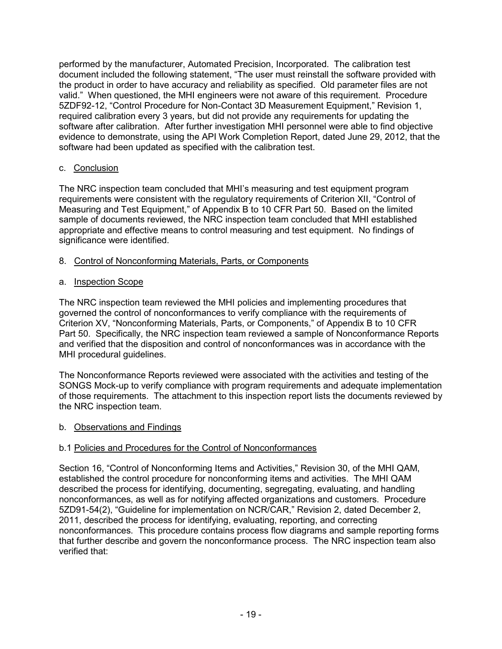performed by the manufacturer, Automated Precision, Incorporated. The calibration test document included the following statement, "The user must reinstall the software provided with the product in order to have accuracy and reliability as specified. Old parameter files are not valid." When questioned, the MHI engineers were not aware of this requirement. Procedure 5ZDF92-12, "Control Procedure for Non-Contact 3D Measurement Equipment," Revision 1, required calibration every 3 years, but did not provide any requirements for updating the software after calibration. After further investigation MHI personnel were able to find objective evidence to demonstrate, using the API Work Completion Report, dated June 29, 2012, that the software had been updated as specified with the calibration test.

## c. Conclusion

The NRC inspection team concluded that MHI's measuring and test equipment program requirements were consistent with the regulatory requirements of Criterion XII, "Control of Measuring and Test Equipment," of Appendix B to 10 CFR Part 50. Based on the limited sample of documents reviewed, the NRC inspection team concluded that MHI established appropriate and effective means to control measuring and test equipment. No findings of significance were identified.

## 8. Control of Nonconforming Materials, Parts, or Components

### a. Inspection Scope

The NRC inspection team reviewed the MHI policies and implementing procedures that governed the control of nonconformances to verify compliance with the requirements of Criterion XV, "Nonconforming Materials, Parts, or Components," of Appendix B to 10 CFR Part 50. Specifically, the NRC inspection team reviewed a sample of Nonconformance Reports and verified that the disposition and control of nonconformances was in accordance with the MHI procedural guidelines.

The Nonconformance Reports reviewed were associated with the activities and testing of the SONGS Mock-up to verify compliance with program requirements and adequate implementation of those requirements. The attachment to this inspection report lists the documents reviewed by the NRC inspection team.

### b. Observations and Findings

### b.1 Policies and Procedures for the Control of Nonconformances

Section 16, "Control of Nonconforming Items and Activities," Revision 30, of the MHI QAM, established the control procedure for nonconforming items and activities. The MHI QAM described the process for identifying, documenting, segregating, evaluating, and handling nonconformances, as well as for notifying affected organizations and customers. Procedure 5ZD91-54(2), "Guideline for implementation on NCR/CAR," Revision 2, dated December 2, 2011, described the process for identifying, evaluating, reporting, and correcting nonconformances. This procedure contains process flow diagrams and sample reporting forms that further describe and govern the nonconformance process. The NRC inspection team also verified that: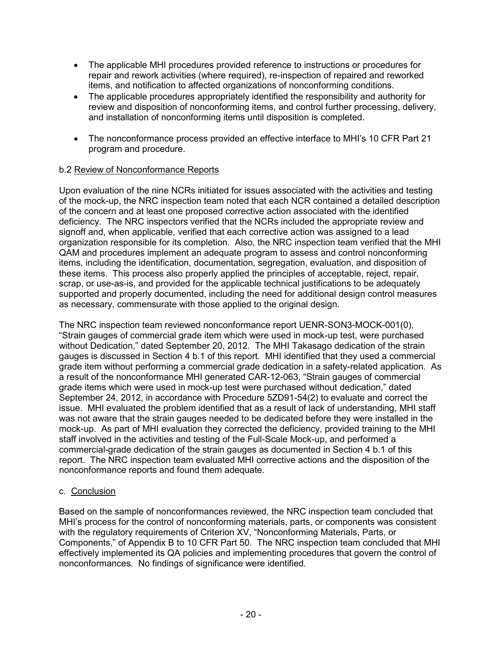- The applicable MHI procedures provided reference to instructions or procedures for repair and rework activities (where required), re-inspection of repaired and reworked items, and notification to affected organizations of nonconforming conditions.
- The applicable procedures appropriately identified the responsibility and authority for review and disposition of nonconforming items, and control further processing, delivery, and installation of nonconforming items until disposition is completed.
- The nonconformance process provided an effective interface to MHI's 10 CFR Part 21 program and procedure.

## b.2 Review of Nonconformance Reports

Upon evaluation of the nine NCRs initiated for issues associated with the activities and testing of the mock-up, the NRC inspection team noted that each NCR contained a detailed description of the concern and at least one proposed corrective action associated with the identified deficiency. The NRC inspectors verified that the NCRs included the appropriate review and signoff and, when applicable, verified that each corrective action was assigned to a lead organization responsible for its completion. Also, the NRC inspection team verified that the MHI QAM and procedures implement an adequate program to assess and control nonconforming items, including the identification, documentation, segregation, evaluation, and disposition of these items. This process also properly applied the principles of acceptable, reject, repair, scrap, or use-as-is, and provided for the applicable technical justifications to be adequately supported and properly documented, including the need for additional design control measures as necessary, commensurate with those applied to the original design.

The NRC inspection team reviewed nonconformance report UENR-SON3-MOCK-001(0), "Strain gauges of commercial grade item which were used in mock-up test, were purchased without Dedication," dated September 20, 2012. The MHI Takasago dedication of the strain gauges is discussed in Section 4 b.1 of this report. MHI identified that they used a commercial grade item without performing a commercial grade dedication in a safety-related application. As a result of the nonconformance MHI generated CAR-12-063, "Strain gauges of commercial grade items which were used in mock-up test were purchased without dedication," dated September 24, 2012, in accordance with Procedure 5ZD91-54(2) to evaluate and correct the issue. MHI evaluated the problem identified that as a result of lack of understanding, MHI staff was not aware that the strain gauges needed to be dedicated before they were installed in the mock-up. As part of MHI evaluation they corrected the deficiency, provided training to the MHI staff involved in the activities and testing of the Full-Scale Mock-up, and performed a commercial-grade dedication of the strain gauges as documented in Section 4 b.1 of this report. The NRC inspection team evaluated MHI corrective actions and the disposition of the nonconformance reports and found them adequate.

### c. Conclusion

Based on the sample of nonconformances reviewed, the NRC inspection team concluded that MHI's process for the control of nonconforming materials, parts, or components was consistent with the regulatory requirements of Criterion XV, "Nonconforming Materials, Parts, or Components," of Appendix B to 10 CFR Part 50. The NRC inspection team concluded that MHI effectively implemented its QA policies and implementing procedures that govern the control of nonconformances. No findings of significance were identified.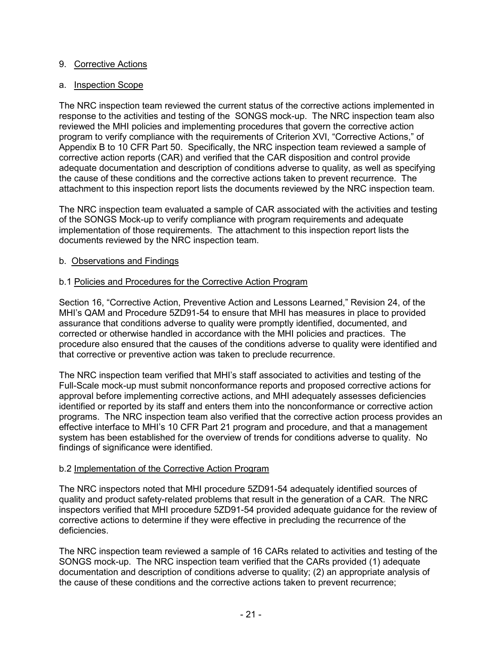### 9. Corrective Actions

## a. Inspection Scope

The NRC inspection team reviewed the current status of the corrective actions implemented in response to the activities and testing of the SONGS mock-up. The NRC inspection team also reviewed the MHI policies and implementing procedures that govern the corrective action program to verify compliance with the requirements of Criterion XVI, "Corrective Actions," of Appendix B to 10 CFR Part 50. Specifically, the NRC inspection team reviewed a sample of corrective action reports (CAR) and verified that the CAR disposition and control provide adequate documentation and description of conditions adverse to quality, as well as specifying the cause of these conditions and the corrective actions taken to prevent recurrence. The attachment to this inspection report lists the documents reviewed by the NRC inspection team.

The NRC inspection team evaluated a sample of CAR associated with the activities and testing of the SONGS Mock-up to verify compliance with program requirements and adequate implementation of those requirements. The attachment to this inspection report lists the documents reviewed by the NRC inspection team.

## b. Observations and Findings

## b.1 Policies and Procedures for the Corrective Action Program

Section 16, "Corrective Action, Preventive Action and Lessons Learned," Revision 24, of the MHI's QAM and Procedure 5ZD91-54 to ensure that MHI has measures in place to provided assurance that conditions adverse to quality were promptly identified, documented, and corrected or otherwise handled in accordance with the MHI policies and practices. The procedure also ensured that the causes of the conditions adverse to quality were identified and that corrective or preventive action was taken to preclude recurrence.

The NRC inspection team verified that MHI's staff associated to activities and testing of the Full-Scale mock-up must submit nonconformance reports and proposed corrective actions for approval before implementing corrective actions, and MHI adequately assesses deficiencies identified or reported by its staff and enters them into the nonconformance or corrective action programs. The NRC inspection team also verified that the corrective action process provides an effective interface to MHI's 10 CFR Part 21 program and procedure, and that a management system has been established for the overview of trends for conditions adverse to quality. No findings of significance were identified.

### b.2 Implementation of the Corrective Action Program

The NRC inspectors noted that MHI procedure 5ZD91-54 adequately identified sources of quality and product safety-related problems that result in the generation of a CAR. The NRC inspectors verified that MHI procedure 5ZD91-54 provided adequate guidance for the review of corrective actions to determine if they were effective in precluding the recurrence of the deficiencies.

The NRC inspection team reviewed a sample of 16 CARs related to activities and testing of the SONGS mock-up. The NRC inspection team verified that the CARs provided (1) adequate documentation and description of conditions adverse to quality; (2) an appropriate analysis of the cause of these conditions and the corrective actions taken to prevent recurrence;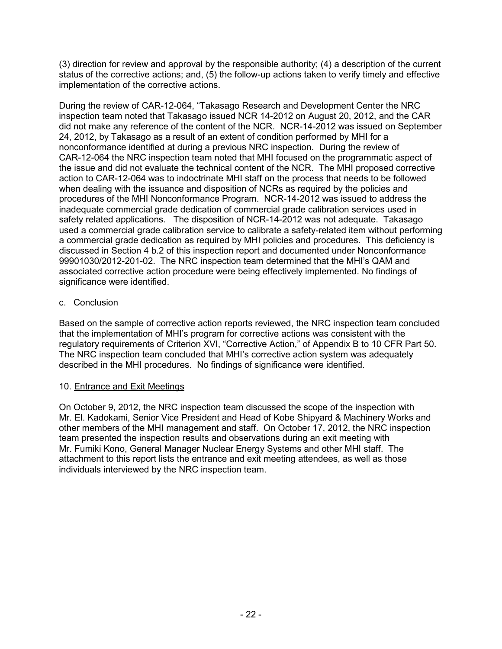(3) direction for review and approval by the responsible authority; (4) a description of the current status of the corrective actions; and, (5) the follow-up actions taken to verify timely and effective implementation of the corrective actions.

During the review of CAR-12-064, "Takasago Research and Development Center the NRC inspection team noted that Takasago issued NCR 14-2012 on August 20, 2012, and the CAR did not make any reference of the content of the NCR. NCR-14-2012 was issued on September 24, 2012, by Takasago as a result of an extent of condition performed by MHI for a nonconformance identified at during a previous NRC inspection. During the review of CAR-12-064 the NRC inspection team noted that MHI focused on the programmatic aspect of the issue and did not evaluate the technical content of the NCR. The MHI proposed corrective action to CAR-12-064 was to indoctrinate MHI staff on the process that needs to be followed when dealing with the issuance and disposition of NCRs as required by the policies and procedures of the MHI Nonconformance Program. NCR-14-2012 was issued to address the inadequate commercial grade dedication of commercial grade calibration services used in safety related applications. The disposition of NCR-14-2012 was not adequate. Takasago used a commercial grade calibration service to calibrate a safety-related item without performing a commercial grade dedication as required by MHI policies and procedures. This deficiency is discussed in Section 4 b.2 of this inspection report and documented under Nonconformance 99901030/2012-201-02. The NRC inspection team determined that the MHI's QAM and associated corrective action procedure were being effectively implemented. No findings of significance were identified.

## c. Conclusion

Based on the sample of corrective action reports reviewed, the NRC inspection team concluded that the implementation of MHI's program for corrective actions was consistent with the regulatory requirements of Criterion XVI, "Corrective Action," of Appendix B to 10 CFR Part 50. The NRC inspection team concluded that MHI's corrective action system was adequately described in the MHI procedures. No findings of significance were identified.

## 10. Entrance and Exit Meetings

On October 9, 2012, the NRC inspection team discussed the scope of the inspection with Mr. El. Kadokami, Senior Vice President and Head of Kobe Shipyard & Machinery Works and other members of the MHI management and staff. On October 17, 2012, the NRC inspection team presented the inspection results and observations during an exit meeting with Mr. Fumiki Kono, General Manager Nuclear Energy Systems and other MHI staff. The attachment to this report lists the entrance and exit meeting attendees, as well as those individuals interviewed by the NRC inspection team.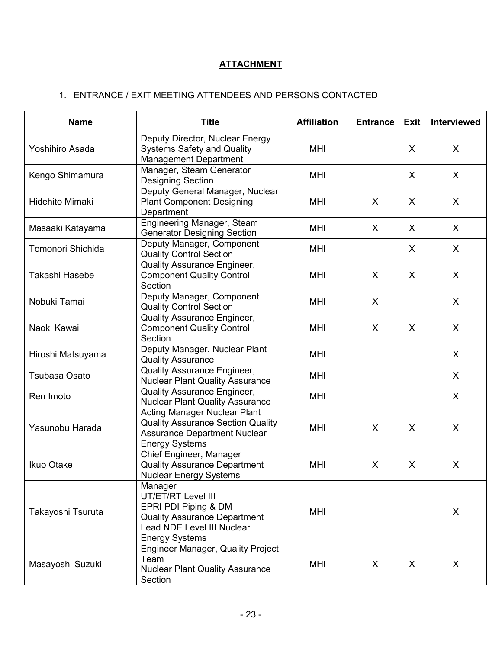# **ATTACHMENT**

# 1. ENTRANCE / EXIT MEETING ATTENDEES AND PERSONS CONTACTED

| <b>Name</b>            | <b>Title</b>                                                                                                                                        | <b>Affiliation</b> | <b>Entrance</b> | <b>Exit</b> | <b>Interviewed</b> |
|------------------------|-----------------------------------------------------------------------------------------------------------------------------------------------------|--------------------|-----------------|-------------|--------------------|
| Yoshihiro Asada        | Deputy Director, Nuclear Energy<br><b>Systems Safety and Quality</b><br><b>Management Department</b>                                                | MHI                |                 | X           | X                  |
| Kengo Shimamura        | Manager, Steam Generator<br><b>Designing Section</b>                                                                                                | MHI                |                 | X           | X                  |
| <b>Hidehito Mimaki</b> | Deputy General Manager, Nuclear<br><b>Plant Component Designing</b><br>Department                                                                   | MHI                | X               | X           | X                  |
| Masaaki Katayama       | Engineering Manager, Steam<br><b>Generator Designing Section</b>                                                                                    | <b>MHI</b>         | X               | X           | X                  |
| Tomonori Shichida      | Deputy Manager, Component<br><b>Quality Control Section</b>                                                                                         | MHI                |                 | X           | X                  |
| Takashi Hasebe         | Quality Assurance Engineer,<br><b>Component Quality Control</b><br>Section                                                                          | MHI                | X               | X           | X                  |
| Nobuki Tamai           | Deputy Manager, Component<br><b>Quality Control Section</b>                                                                                         | MHI                | X               |             | X                  |
| Naoki Kawai            | Quality Assurance Engineer,<br><b>Component Quality Control</b><br>Section                                                                          | MHI                | X               | X           | X                  |
| Hiroshi Matsuyama      | Deputy Manager, Nuclear Plant<br><b>Quality Assurance</b>                                                                                           | MHI                |                 |             | X                  |
| Tsubasa Osato          | Quality Assurance Engineer,<br><b>Nuclear Plant Quality Assurance</b>                                                                               | <b>MHI</b>         |                 |             | X                  |
| Ren Imoto              | Quality Assurance Engineer,<br><b>Nuclear Plant Quality Assurance</b>                                                                               | MHI                |                 |             | X                  |
| Yasunobu Harada        | <b>Acting Manager Nuclear Plant</b><br><b>Quality Assurance Section Quality</b><br><b>Assurance Department Nuclear</b><br><b>Energy Systems</b>     | MHI                | X               | X           | X                  |
| Ikuo Otake             | Chief Engineer, Manager<br><b>Quality Assurance Department</b><br><b>Nuclear Energy Systems</b>                                                     | MHI                | X               | X           | X                  |
| Takayoshi Tsuruta      | Manager<br>UT/ET/RT Level III<br>EPRI PDI Piping & DM<br><b>Quality Assurance Department</b><br>Lead NDE Level III Nuclear<br><b>Energy Systems</b> | MHI                |                 |             | X                  |
| Masayoshi Suzuki       | <b>Engineer Manager, Quality Project</b><br>Team<br><b>Nuclear Plant Quality Assurance</b><br>Section                                               | MHI                | X               | X           | X                  |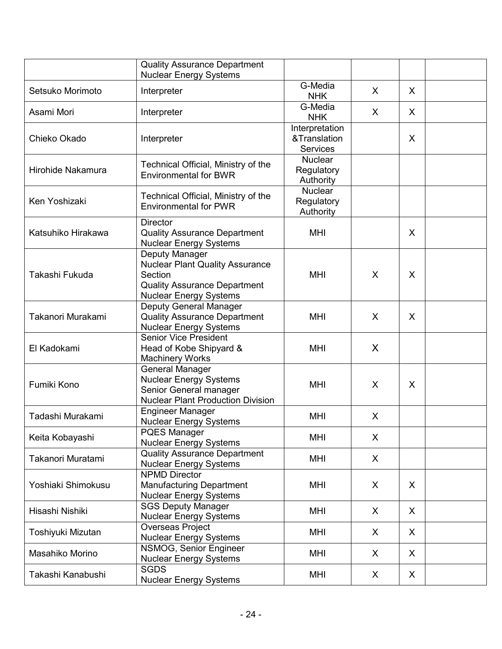|                    | <b>Quality Assurance Department</b><br><b>Nuclear Energy Systems</b>                                                                        |                                                   |   |         |  |
|--------------------|---------------------------------------------------------------------------------------------------------------------------------------------|---------------------------------------------------|---|---------|--|
| Setsuko Morimoto   | Interpreter                                                                                                                                 | G-Media<br><b>NHK</b>                             | X | X       |  |
| Asami Mori         | Interpreter                                                                                                                                 | G-Media<br><b>NHK</b>                             | X | $\sf X$ |  |
| Chieko Okado       | Interpreter                                                                                                                                 | Interpretation<br>&Translation<br><b>Services</b> |   | X       |  |
| Hirohide Nakamura  | Technical Official, Ministry of the<br><b>Environmental for BWR</b>                                                                         | <b>Nuclear</b><br>Regulatory<br>Authority         |   |         |  |
| Ken Yoshizaki      | Technical Official, Ministry of the<br><b>Environmental for PWR</b>                                                                         | <b>Nuclear</b><br>Regulatory<br>Authority         |   |         |  |
| Katsuhiko Hirakawa | <b>Director</b><br><b>Quality Assurance Department</b><br><b>Nuclear Energy Systems</b>                                                     | MHI                                               |   | X       |  |
| Takashi Fukuda     | Deputy Manager<br><b>Nuclear Plant Quality Assurance</b><br>Section<br><b>Quality Assurance Department</b><br><b>Nuclear Energy Systems</b> | <b>MHI</b>                                        | X | X       |  |
| Takanori Murakami  | Deputy General Manager<br><b>Quality Assurance Department</b><br><b>Nuclear Energy Systems</b>                                              | MHI                                               | X | X       |  |
| El Kadokami        | <b>Senior Vice President</b><br>Head of Kobe Shipyard &<br><b>Machinery Works</b>                                                           | MHI                                               | X |         |  |
| Fumiki Kono        | <b>General Manager</b><br><b>Nuclear Energy Systems</b><br>Senior General manager<br><b>Nuclear Plant Production Division</b>               | <b>MHI</b>                                        | X | X       |  |
| Tadashi Murakami   | <b>Engineer Manager</b><br><b>Nuclear Energy Systems</b>                                                                                    | <b>MHI</b>                                        | X |         |  |
| Keita Kobayashi    | <b>PQES Manager</b><br><b>Nuclear Energy Systems</b>                                                                                        | <b>MHI</b>                                        | X |         |  |
| Takanori Muratami  | <b>Quality Assurance Department</b><br><b>Nuclear Energy Systems</b>                                                                        | <b>MHI</b>                                        | X |         |  |
| Yoshiaki Shimokusu | <b>NPMD Director</b><br><b>Manufacturing Department</b><br><b>Nuclear Energy Systems</b>                                                    | <b>MHI</b>                                        | X | X       |  |
| Hisashi Nishiki    | <b>SGS Deputy Manager</b><br><b>Nuclear Energy Systems</b>                                                                                  | MHI                                               | X | X       |  |
| Toshiyuki Mizutan  | <b>Overseas Project</b><br><b>Nuclear Energy Systems</b>                                                                                    |                                                   | X | X       |  |
| Masahiko Morino    | NSMOG, Senior Engineer<br><b>Nuclear Energy Systems</b>                                                                                     | <b>MHI</b>                                        | X | X       |  |
| Takashi Kanabushi  | <b>SGDS</b><br><b>Nuclear Energy Systems</b>                                                                                                | <b>MHI</b>                                        | X | X       |  |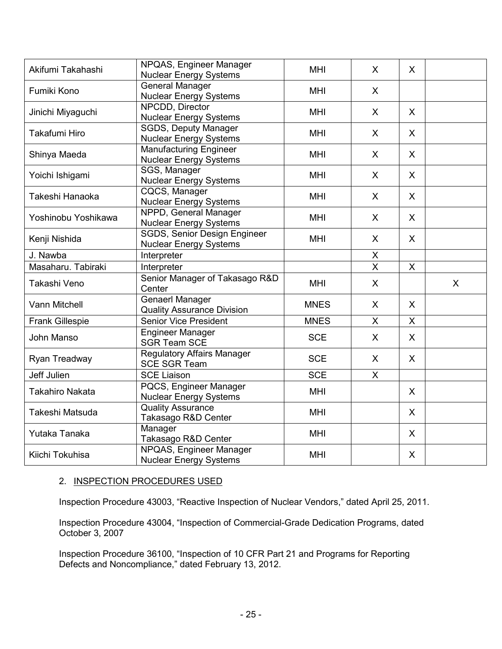|                        | NPQAS, Engineer Manager           |             |                |              |   |
|------------------------|-----------------------------------|-------------|----------------|--------------|---|
| Akifumi Takahashi      | <b>Nuclear Energy Systems</b>     | <b>MHI</b>  | X              | X            |   |
|                        | <b>General Manager</b>            |             |                |              |   |
| Fumiki Kono            | <b>Nuclear Energy Systems</b>     | <b>MHI</b>  | X              |              |   |
|                        | NPCDD, Director                   | <b>MHI</b>  |                |              |   |
| Jinichi Miyaguchi      | <b>Nuclear Energy Systems</b>     |             | X              | $\mathsf{X}$ |   |
| Takafumi Hiro          | <b>SGDS, Deputy Manager</b>       | <b>MHI</b>  | X              | $\sf X$      |   |
|                        | <b>Nuclear Energy Systems</b>     |             |                |              |   |
| Shinya Maeda           | <b>Manufacturing Engineer</b>     | <b>MHI</b>  | X              | X            |   |
|                        | <b>Nuclear Energy Systems</b>     |             |                |              |   |
| Yoichi Ishigami        | SGS, Manager                      | <b>MHI</b>  | X              | $\mathsf{X}$ |   |
|                        | <b>Nuclear Energy Systems</b>     |             |                |              |   |
| Takeshi Hanaoka        | <b>CQCS, Manager</b>              | <b>MHI</b>  | X              | $\mathsf{X}$ |   |
|                        | <b>Nuclear Energy Systems</b>     |             |                |              |   |
| Yoshinobu Yoshikawa    | NPPD, General Manager             | <b>MHI</b>  | X              | X            |   |
|                        | <b>Nuclear Energy Systems</b>     |             |                |              |   |
| Kenji Nishida          | SGDS, Senior Design Engineer      | <b>MHI</b>  | X              | X            |   |
|                        | <b>Nuclear Energy Systems</b>     |             |                |              |   |
| J. Nawba               | Interpreter                       |             | X              |              |   |
| Masaharu. Tabiraki     | Interpreter                       |             | $\overline{X}$ | X            |   |
|                        | Senior Manager of Takasago R&D    | <b>MHI</b>  | $\mathsf{X}$   |              | X |
| Takashi Veno           | Center                            |             |                |              |   |
| <b>Vann Mitchell</b>   | <b>Genaerl Manager</b>            | <b>MNES</b> | X              | $\sf X$      |   |
|                        | <b>Quality Assurance Division</b> |             |                |              |   |
| <b>Frank Gillespie</b> | <b>Senior Vice President</b>      | <b>MNES</b> | X              | X            |   |
| John Manso             | Engineer Manager                  | <b>SCE</b>  | X              | $\sf X$      |   |
|                        | <b>SGR Team SCE</b>               |             |                |              |   |
|                        | <b>Regulatory Affairs Manager</b> | <b>SCE</b>  | $\mathsf{X}$   | $\sf X$      |   |
| Ryan Treadway          | <b>SCE SGR Team</b>               |             |                |              |   |
| Jeff Julien            | <b>SCE Liaison</b>                | <b>SCE</b>  | $\mathsf{X}$   |              |   |
|                        | PQCS, Engineer Manager            |             |                |              |   |
| <b>Takahiro Nakata</b> | <b>Nuclear Energy Systems</b>     | <b>MHI</b>  |                | $\sf X$      |   |
| Takeshi Matsuda        | <b>Quality Assurance</b>          |             |                |              |   |
|                        | Takasago R&D Center               | <b>MHI</b>  |                | $\mathsf{X}$ |   |
|                        | Manager                           |             |                |              |   |
| Yutaka Tanaka          | Takasago R&D Center               | <b>MHI</b>  |                | X            |   |
|                        | NPQAS, Engineer Manager           |             |                |              |   |
| Kiichi Tokuhisa        | <b>Nuclear Energy Systems</b>     | <b>MHI</b>  |                | X            |   |

### 2. INSPECTION PROCEDURES USED

Inspection Procedure 43003, "Reactive Inspection of Nuclear Vendors," dated April 25, 2011.

Inspection Procedure 43004, "Inspection of Commercial-Grade Dedication Programs, dated October 3, 2007

Inspection Procedure 36100, "Inspection of 10 CFR Part 21 and Programs for Reporting Defects and Noncompliance," dated February 13, 2012.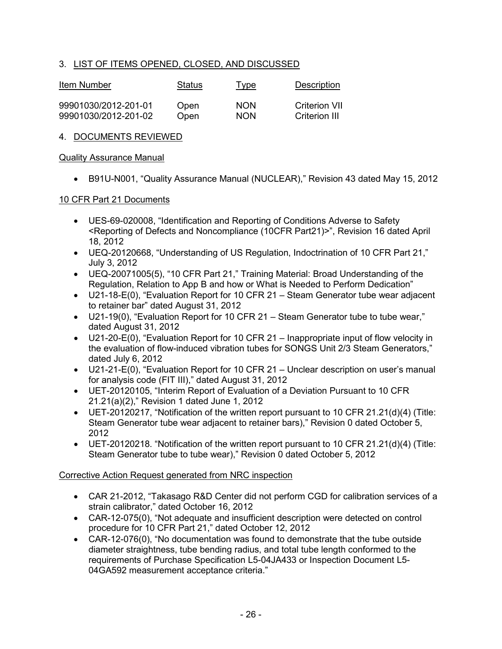## 3. LIST OF ITEMS OPENED, CLOSED, AND DISCUSSED

| Item Number          | Status | Type       | <b>Description</b> |
|----------------------|--------|------------|--------------------|
| 99901030/2012-201-01 | Open   | <b>NON</b> | Criterion VII      |
| 99901030/2012-201-02 | Open   | <b>NON</b> | Criterion III      |

### 4. DOCUMENTS REVIEWED

#### Quality Assurance Manual

• B91U-N001, "Quality Assurance Manual (NUCLEAR)," Revision 43 dated May 15, 2012

#### 10 CFR Part 21 Documents

- UES-69-020008, "Identification and Reporting of Conditions Adverse to Safety <Reporting of Defects and Noncompliance (10CFR Part21)>", Revision 16 dated April 18, 2012
- UEQ-20120668, "Understanding of US Regulation, Indoctrination of 10 CFR Part 21," July 3, 2012
- UEQ-20071005(5), "10 CFR Part 21," Training Material: Broad Understanding of the Regulation, Relation to App B and how or What is Needed to Perform Dedication"
- U21-18-E(0), "Evaluation Report for 10 CFR 21 Steam Generator tube wear adjacent to retainer bar" dated August 31, 2012
- U21-19(0), "Evaluation Report for 10 CFR 21 Steam Generator tube to tube wear," dated August 31, 2012
- U21-20-E(0), "Evaluation Report for 10 CFR 21 Inappropriate input of flow velocity in the evaluation of flow-induced vibration tubes for SONGS Unit 2/3 Steam Generators," dated July 6, 2012
- U21-21-E(0), "Evaluation Report for 10 CFR 21 Unclear description on user's manual for analysis code (FIT III)," dated August 31, 2012
- UET-20120105, "Interim Report of Evaluation of a Deviation Pursuant to 10 CFR 21.21(a)(2)," Revision 1 dated June 1, 2012
- UET-20120217, "Notification of the written report pursuant to 10 CFR 21.21(d)(4) (Title: Steam Generator tube wear adjacent to retainer bars)," Revision 0 dated October 5, 2012
- UET-20120218. "Notification of the written report pursuant to 10 CFR 21.21(d)(4) (Title: Steam Generator tube to tube wear)," Revision 0 dated October 5, 2012

### Corrective Action Request generated from NRC inspection

- CAR 21-2012, "Takasago R&D Center did not perform CGD for calibration services of a strain calibrator," dated October 16, 2012
- CAR-12-075(0), "Not adequate and insufficient description were detected on control procedure for 10 CFR Part 21," dated October 12, 2012
- CAR-12-076(0), "No documentation was found to demonstrate that the tube outside diameter straightness, tube bending radius, and total tube length conformed to the requirements of Purchase Specification L5-04JA433 or Inspection Document L5- 04GA592 measurement acceptance criteria."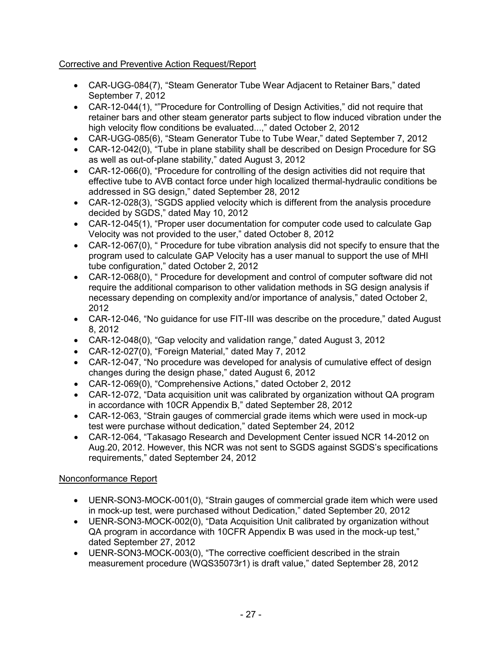# Corrective and Preventive Action Request/Report

- CAR-UGG-084(7), "Steam Generator Tube Wear Adjacent to Retainer Bars," dated September 7, 2012
- CAR-12-044(1), ""Procedure for Controlling of Design Activities," did not require that retainer bars and other steam generator parts subject to flow induced vibration under the high velocity flow conditions be evaluated...," dated October 2, 2012
- CAR-UGG-085(6), "Steam Generator Tube to Tube Wear," dated September 7, 2012
- CAR-12-042(0), "Tube in plane stability shall be described on Design Procedure for SG as well as out-of-plane stability," dated August 3, 2012
- CAR-12-066(0), "Procedure for controlling of the design activities did not require that effective tube to AVB contact force under high localized thermal-hydraulic conditions be addressed in SG design," dated September 28, 2012
- CAR-12-028(3), "SGDS applied velocity which is different from the analysis procedure decided by SGDS," dated May 10, 2012
- CAR-12-045(1), "Proper user documentation for computer code used to calculate Gap Velocity was not provided to the user," dated October 8, 2012
- CAR-12-067(0), " Procedure for tube vibration analysis did not specify to ensure that the program used to calculate GAP Velocity has a user manual to support the use of MHI tube configuration," dated October 2, 2012
- CAR-12-068(0), " Procedure for development and control of computer software did not require the additional comparison to other validation methods in SG design analysis if necessary depending on complexity and/or importance of analysis," dated October 2, 2012
- CAR-12-046, "No guidance for use FIT-III was describe on the procedure," dated August 8, 2012
- CAR-12-048(0), "Gap velocity and validation range," dated August 3, 2012
- CAR-12-027(0), "Foreign Material," dated May 7, 2012
- CAR-12-047, "No procedure was developed for analysis of cumulative effect of design changes during the design phase," dated August 6, 2012
- CAR-12-069(0), "Comprehensive Actions," dated October 2, 2012
- CAR-12-072, "Data acquisition unit was calibrated by organization without QA program in accordance with 10CR Appendix B," dated September 28, 2012
- CAR-12-063, "Strain gauges of commercial grade items which were used in mock-up test were purchase without dedication," dated September 24, 2012
- CAR-12-064, "Takasago Research and Development Center issued NCR 14-2012 on Aug.20, 2012. However, this NCR was not sent to SGDS against SGDS's specifications requirements," dated September 24, 2012

## Nonconformance Report

- UENR-SON3-MOCK-001(0), "Strain gauges of commercial grade item which were used in mock-up test, were purchased without Dedication," dated September 20, 2012
- UENR-SON3-MOCK-002(0), "Data Acquisition Unit calibrated by organization without QA program in accordance with 10CFR Appendix B was used in the mock-up test," dated September 27, 2012
- UENR-SON3-MOCK-003(0), "The corrective coefficient described in the strain measurement procedure (WQS35073r1) is draft value," dated September 28, 2012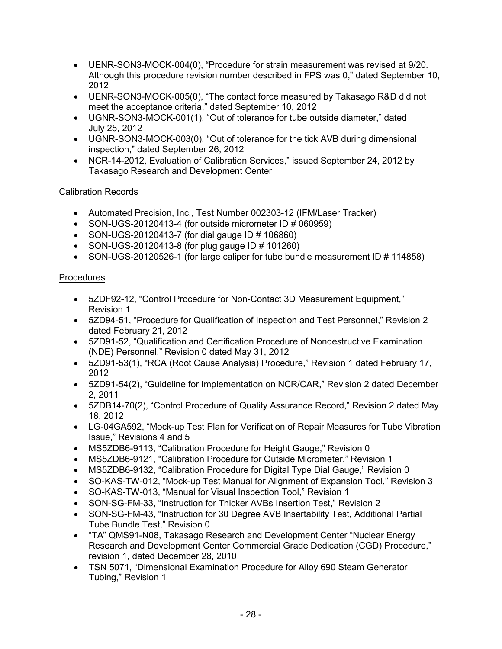- UENR-SON3-MOCK-004(0), "Procedure for strain measurement was revised at 9/20. Although this procedure revision number described in FPS was 0," dated September 10, 2012
- UENR-SON3-MOCK-005(0), "The contact force measured by Takasago R&D did not meet the acceptance criteria," dated September 10, 2012
- UGNR-SON3-MOCK-001(1), "Out of tolerance for tube outside diameter," dated July 25, 2012
- UGNR-SON3-MOCK-003(0), "Out of tolerance for the tick AVB during dimensional inspection," dated September 26, 2012
- NCR-14-2012, Evaluation of Calibration Services," issued September 24, 2012 by Takasago Research and Development Center

## Calibration Records

- Automated Precision, Inc., Test Number 002303-12 (IFM/Laser Tracker)
- SON-UGS-20120413-4 (for outside micrometer ID # 060959)
- SON-UGS-20120413-7 (for dial gauge ID # 106860)
- SON-UGS-20120413-8 (for plug gauge ID  $\#$  101260)
- SON-UGS-20120526-1 (for large caliper for tube bundle measurement ID # 114858)

## Procedures

- 5ZDF92-12, "Control Procedure for Non-Contact 3D Measurement Equipment," Revision 1
- 5ZD94-51, "Procedure for Qualification of Inspection and Test Personnel," Revision 2 dated February 21, 2012
- 5ZD91-52, "Qualification and Certification Procedure of Nondestructive Examination (NDE) Personnel," Revision 0 dated May 31, 2012
- 5ZD91-53(1), "RCA (Root Cause Analysis) Procedure," Revision 1 dated February 17, 2012
- 5ZD91-54(2), "Guideline for Implementation on NCR/CAR," Revision 2 dated December 2, 2011
- 5ZDB14-70(2), "Control Procedure of Quality Assurance Record," Revision 2 dated May 18, 2012
- LG-04GA592, "Mock-up Test Plan for Verification of Repair Measures for Tube Vibration Issue," Revisions 4 and 5
- MS5ZDB6-9113, "Calibration Procedure for Height Gauge," Revision 0
- MS5ZDB6-9121, "Calibration Procedure for Outside Micrometer," Revision 1
- MS5ZDB6-9132, "Calibration Procedure for Digital Type Dial Gauge," Revision 0
- SO-KAS-TW-012, "Mock-up Test Manual for Alignment of Expansion Tool," Revision 3
- SO-KAS-TW-013, "Manual for Visual Inspection Tool," Revision 1
- SON-SG-FM-33, "Instruction for Thicker AVBs Insertion Test," Revision 2
- SON-SG-FM-43, "Instruction for 30 Degree AVB Insertability Test, Additional Partial Tube Bundle Test," Revision 0
- "TA" QMS91-N08, Takasago Research and Development Center "Nuclear Energy Research and Development Center Commercial Grade Dedication (CGD) Procedure," revision 1, dated December 28, 2010
- TSN 5071, "Dimensional Examination Procedure for Alloy 690 Steam Generator Tubing," Revision 1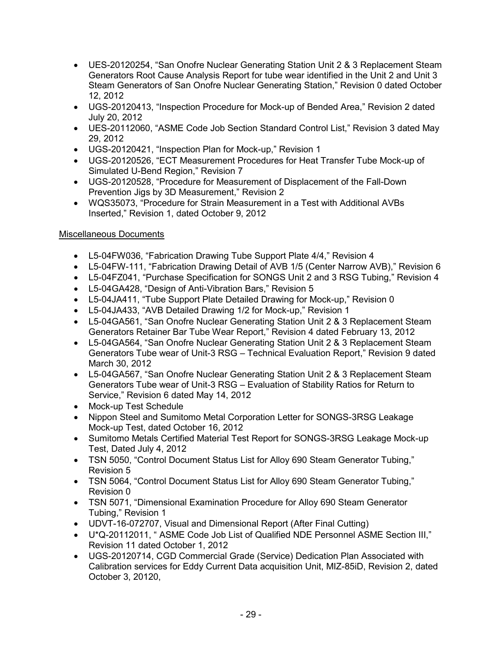- UES-20120254, "San Onofre Nuclear Generating Station Unit 2 & 3 Replacement Steam Generators Root Cause Analysis Report for tube wear identified in the Unit 2 and Unit 3 Steam Generators of San Onofre Nuclear Generating Station," Revision 0 dated October 12, 2012
- UGS-20120413, "Inspection Procedure for Mock-up of Bended Area," Revision 2 dated July 20, 2012
- UES-20112060, "ASME Code Job Section Standard Control List," Revision 3 dated May 29, 2012
- UGS-20120421, "Inspection Plan for Mock-up," Revision 1
- UGS-20120526, "ECT Measurement Procedures for Heat Transfer Tube Mock-up of Simulated U-Bend Region," Revision 7
- UGS-20120528, "Procedure for Measurement of Displacement of the Fall-Down Prevention Jigs by 3D Measurement," Revision 2
- WQS35073, "Procedure for Strain Measurement in a Test with Additional AVBs Inserted," Revision 1, dated October 9, 2012

# Miscellaneous Documents

- L5-04FW036, "Fabrication Drawing Tube Support Plate 4/4," Revision 4
- L5-04FW-111, "Fabrication Drawing Detail of AVB 1/5 (Center Narrow AVB)," Revision 6
- L5-04FZ041, "Purchase Specification for SONGS Unit 2 and 3 RSG Tubing," Revision 4
- L5-04GA428, "Design of Anti-Vibration Bars," Revision 5
- L5-04JA411, "Tube Support Plate Detailed Drawing for Mock-up," Revision 0
- L5-04JA433, "AVB Detailed Drawing 1/2 for Mock-up," Revision 1
- L5-04GA561, "San Onofre Nuclear Generating Station Unit 2 & 3 Replacement Steam Generators Retainer Bar Tube Wear Report," Revision 4 dated February 13, 2012
- L5-04GA564, "San Onofre Nuclear Generating Station Unit 2 & 3 Replacement Steam Generators Tube wear of Unit-3 RSG – Technical Evaluation Report," Revision 9 dated March 30, 2012
- L5-04GA567, "San Onofre Nuclear Generating Station Unit 2 & 3 Replacement Steam Generators Tube wear of Unit-3 RSG – Evaluation of Stability Ratios for Return to Service," Revision 6 dated May 14, 2012
- Mock-up Test Schedule
- Nippon Steel and Sumitomo Metal Corporation Letter for SONGS-3RSG Leakage Mock-up Test, dated October 16, 2012
- Sumitomo Metals Certified Material Test Report for SONGS-3RSG Leakage Mock-up Test, Dated July 4, 2012
- TSN 5050, "Control Document Status List for Alloy 690 Steam Generator Tubing," Revision 5
- TSN 5064, "Control Document Status List for Alloy 690 Steam Generator Tubing," Revision 0
- TSN 5071, "Dimensional Examination Procedure for Alloy 690 Steam Generator Tubing," Revision 1
- UDVT-16-072707, Visual and Dimensional Report (After Final Cutting)
- U\*Q-20112011, " ASME Code Job List of Qualified NDE Personnel ASME Section III," Revision 11 dated October 1, 2012
- UGS-20120714, CGD Commercial Grade (Service) Dedication Plan Associated with Calibration services for Eddy Current Data acquisition Unit, MIZ-85iD, Revision 2, dated October 3, 20120,